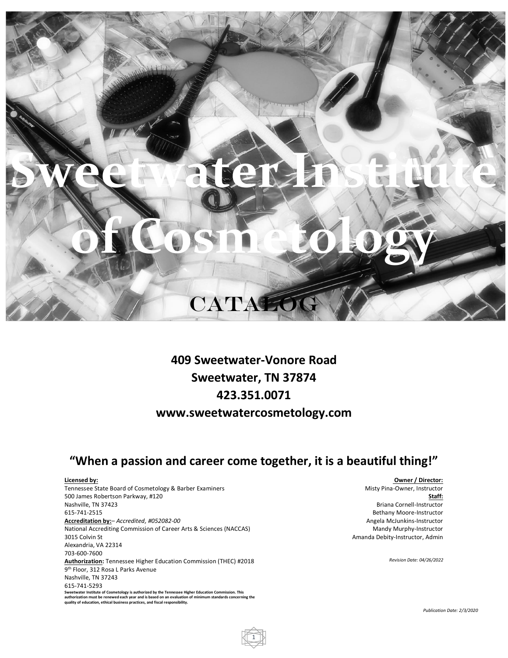

# **409 Sweetwater-Vonore Road Sweetwater, TN 37874 423.351.0071 www.sweetwatercosmetology.com**

## **"When a passion and career come together, it is a beautiful thing!"**

1

#### **Licensed by:**

Tennessee State Board of Cosmetology & Barber Examiners 500 James Robertson Parkway, #120 Nashville, TN 37423 615-741-2515 **Accreditation by:***– Accredited, #052082-00* National Accrediting Commission of Career Arts & Sciences (NACCAS) 3015 Colvin St Alexandria, VA 22314 703-600-7600 **Authorization:** Tennessee Higher Education Commission (THEC) #2018 9 th Floor, 312 Rosa L Parks Avenue Nashville, TN 37243 615-741-5293 Sweetwater Institute of Cosmetology is authorized by the Tennessee Higher Education Commission. This<br>authorization must be renewed each year and is based on an evaluation of minimum standards concerning the<br>quality of educ

**Owner / Director:** Misty Pina-Owner, Instructor **Staff:** Briana Cornell-Instructor Bethany Moore-Instructor Angela McJunkins-Instructor Mandy Murphy-Instructor Amanda Debity-Instructor, Admin

*Revision Date: 04/26/2022*

*Publication Date: 2/3/2020*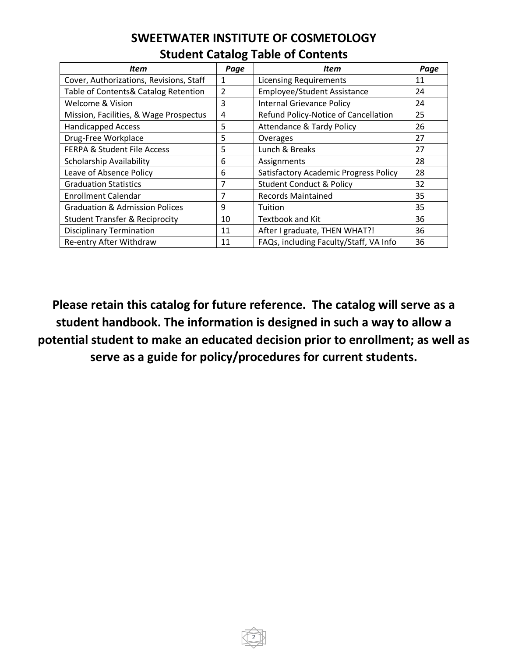|                                           | o              |                                              |      |  |  |  |
|-------------------------------------------|----------------|----------------------------------------------|------|--|--|--|
| Item                                      | Page           | <b>Item</b>                                  | Page |  |  |  |
| Cover, Authorizations, Revisions, Staff   | 1              | <b>Licensing Requirements</b>                | 11   |  |  |  |
| Table of Contents& Catalog Retention      | $\overline{2}$ | <b>Employee/Student Assistance</b>           | 24   |  |  |  |
| Welcome & Vision                          | 3              | <b>Internal Grievance Policy</b>             | 24   |  |  |  |
| Mission, Facilities, & Wage Prospectus    | 4              | Refund Policy-Notice of Cancellation         | 25   |  |  |  |
| <b>Handicapped Access</b>                 | 5              | <b>Attendance &amp; Tardy Policy</b>         | 26   |  |  |  |
| Drug-Free Workplace                       | 5              | Overages                                     | 27   |  |  |  |
| <b>FERPA &amp; Student File Access</b>    | 5              | Lunch & Breaks                               | 27   |  |  |  |
| Scholarship Availability                  | 6              | Assignments                                  | 28   |  |  |  |
| Leave of Absence Policy                   | 6              | <b>Satisfactory Academic Progress Policy</b> | 28   |  |  |  |
| <b>Graduation Statistics</b>              | 7              | <b>Student Conduct &amp; Policy</b>          | 32   |  |  |  |
| <b>Enrollment Calendar</b>                | 7              | <b>Records Maintained</b>                    | 35   |  |  |  |
| <b>Graduation &amp; Admission Polices</b> | 9              | Tuition                                      | 35   |  |  |  |
| <b>Student Transfer &amp; Reciprocity</b> | 10             | Textbook and Kit                             | 36   |  |  |  |
| <b>Disciplinary Termination</b>           | 11             | After I graduate, THEN WHAT?!                | 36   |  |  |  |
| Re-entry After Withdraw                   | 11             | FAQs, including Faculty/Staff, VA Info       | 36   |  |  |  |

# **SWEETWATER INSTITUTE OF COSMETOLOGY Student Catalog Table of Contents**

**Please retain this catalog for future reference. The catalog will serve as a student handbook. The information is designed in such a way to allow a potential student to make an educated decision prior to enrollment; as well as serve as a guide for policy/procedures for current students.**

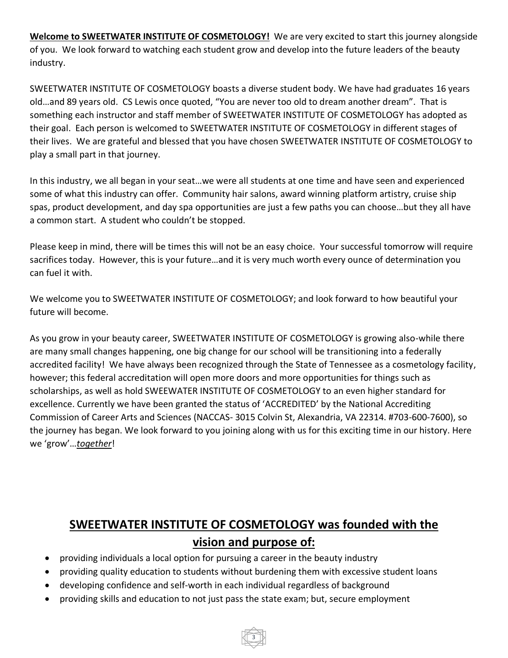**Welcome to SWEETWATER INSTITUTE OF COSMETOLOGY!** We are very excited to start this journey alongside of you. We look forward to watching each student grow and develop into the future leaders of the beauty industry.

SWEETWATER INSTITUTE OF COSMETOLOGY boasts a diverse student body. We have had graduates 16 years old…and 89 years old. CS Lewis once quoted, "You are never too old to dream another dream". That is something each instructor and staff member of SWEETWATER INSTITUTE OF COSMETOLOGY has adopted as their goal. Each person is welcomed to SWEETWATER INSTITUTE OF COSMETOLOGY in different stages of their lives. We are grateful and blessed that you have chosen SWEETWATER INSTITUTE OF COSMETOLOGY to play a small part in that journey.

In this industry, we all began in your seat…we were all students at one time and have seen and experienced some of what this industry can offer. Community hair salons, award winning platform artistry, cruise ship spas, product development, and day spa opportunities are just a few paths you can choose…but they all have a common start. A student who couldn't be stopped.

Please keep in mind, there will be times this will not be an easy choice. Your successful tomorrow will require sacrifices today. However, this is your future…and it is very much worth every ounce of determination you can fuel it with.

We welcome you to SWEETWATER INSTITUTE OF COSMETOLOGY; and look forward to how beautiful your future will become.

As you grow in your beauty career, SWEETWATER INSTITUTE OF COSMETOLOGY is growing also-while there are many small changes happening, one big change for our school will be transitioning into a federally accredited facility! We have always been recognized through the State of Tennessee as a cosmetology facility, however; this federal accreditation will open more doors and more opportunities for things such as scholarships, as well as hold SWEEWATER INSTITUTE OF COSMETOLOGY to an even higher standard for excellence. Currently we have been granted the status of 'ACCREDITED' by the National Accrediting Commission of Career Arts and Sciences (NACCAS- 3015 Colvin St, Alexandria, VA 22314. #703-600-7600), so the journey has began. We look forward to you joining along with us for this exciting time in our history. Here we 'grow'…*together*!

# **SWEETWATER INSTITUTE OF COSMETOLOGY was founded with the vision and purpose of:**

- providing individuals a local option for pursuing a career in the beauty industry
- providing quality education to students without burdening them with excessive student loans
- developing confidence and self-worth in each individual regardless of background
- providing skills and education to not just pass the state exam; but, secure employment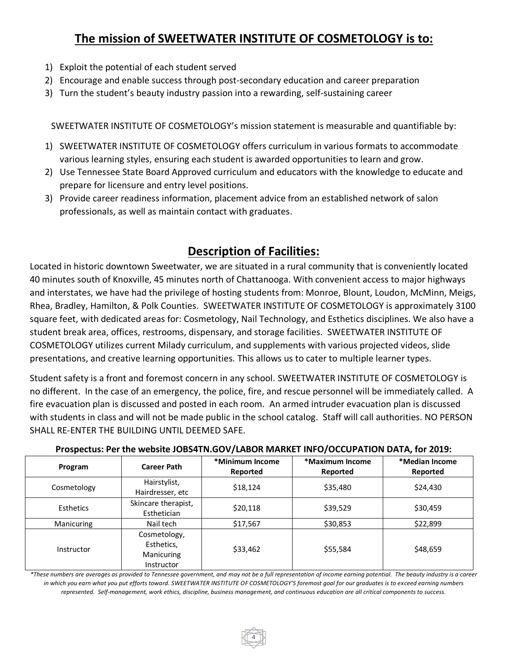## **The mission of SWEETWATER INSTITUTE OF COSMETOLOGY is to:**

- 1) Exploit the potential of each student served
- 2) Encourage and enable success through post-secondary education and career preparation
- 3) Turn the student's beauty industry passion into a rewarding, self-sustaining career

SWEETWATER INSTITUTE OF COSMETOLOGY's mission statement is measurable and quantifiable by:

- 1) SWEETWATER INSTITUTE OF COSMETOLOGY offers curriculum in various formats to accommodate various learning styles, ensuring each student is awarded opportunities to learn and grow.
- 2) Use Tennessee State Board Approved curriculum and educators with the knowledge to educate and prepare for licensure and entry level positions.
- 3) Provide career readiness information, placement advice from an established network of salon professionals, as well as maintain contact with graduates.

# **Description of Facilities:**

Located in historic downtown Sweetwater, we are situated in a rural community that is conveniently located 40 minutes south of Knoxville, 45 minutes north of Chattanooga. With convenient access to major highways and interstates, we have had the privilege of hosting students from: Monroe, Blount, Loudon, McMinn, Meigs, Rhea, Bradley, Hamilton, & Polk Counties. SWEETWATER INSTITUTE OF COSMETOLOGY is approximately 3100 square feet, with dedicated areas for: Cosmetology, Nail Technology, and Esthetics disciplines. We also have a student break area, offices, restrooms, dispensary, and storage facilities. SWEETWATER INSTITUTE OF COSMETOLOGY utilizes current Milady curriculum, and supplements with various projected videos, slide presentations, and creative learning opportunities. This allows us to cater to multiple learner types.

Student safety is a front and foremost concern in any school. SWEETWATER INSTITUTE OF COSMETOLOGY is no different. In the case of an emergency, the police, fire, and rescue personnel will be immediately called. A fire evacuation plan is discussed and posted in each room. An armed intruder evacuation plan is discussed with students in class and will not be made public in the school catalog. Staff will call authorities. NO PERSON SHALL RE-ENTER THE BUILDING UNTIL DEEMED SAFE.

| Program          | <b>Career Path</b>                                     | *Minimum Income<br>Reported | *Maximum Income<br>Reported | *Median Income<br>Reported |
|------------------|--------------------------------------------------------|-----------------------------|-----------------------------|----------------------------|
| Cosmetology      | Hairstylist,<br>Hairdresser, etc                       | \$18,124                    | \$35,480                    | \$24,430                   |
| <b>Esthetics</b> | Skincare therapist,<br>Esthetician                     | \$20,118                    | \$39,529                    | \$30,459                   |
| Manicuring       | Nail tech                                              | \$17,567                    | \$30,853                    | \$22,899                   |
| Instructor       | Cosmetology,<br>Esthetics,<br>Manicuring<br>Instructor | \$33,462                    | \$55,584                    | \$48,659                   |

#### **Prospectus: Per the website JOBS4TN.GOV/LABOR MARKET INFO/OCCUPATION DATA, for 2019:**

*\*These numbers are averages as provided to Tennessee government, and may not be a full representation of income earning potential. The beauty industry is a career in which you earn what you put efforts toward. SWEETWATER INSTITUTE OF COSMETOLOGY'S foremost goal for our graduates is to exceed earning numbers represented. Self-management, work ethics, discipline, business management, and continuous education are all critical components to success.*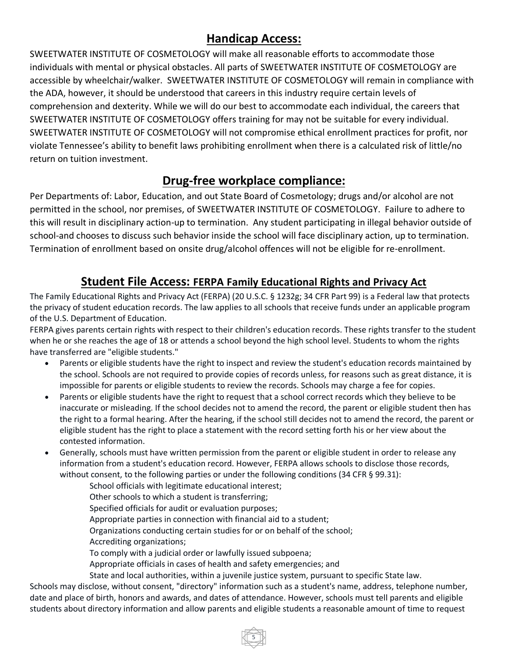# **Handicap Access:**

SWEETWATER INSTITUTE OF COSMETOLOGY will make all reasonable efforts to accommodate those individuals with mental or physical obstacles. All parts of SWEETWATER INSTITUTE OF COSMETOLOGY are accessible by wheelchair/walker. SWEETWATER INSTITUTE OF COSMETOLOGY will remain in compliance with the ADA, however, it should be understood that careers in this industry require certain levels of comprehension and dexterity. While we will do our best to accommodate each individual, the careers that SWEETWATER INSTITUTE OF COSMETOLOGY offers training for may not be suitable for every individual. SWEETWATER INSTITUTE OF COSMETOLOGY will not compromise ethical enrollment practices for profit, nor violate Tennessee's ability to benefit laws prohibiting enrollment when there is a calculated risk of little/no return on tuition investment.

# **Drug-free workplace compliance:**

Per Departments of: Labor, Education, and out State Board of Cosmetology; drugs and/or alcohol are not permitted in the school, nor premises, of SWEETWATER INSTITUTE OF COSMETOLOGY. Failure to adhere to this will result in disciplinary action-up to termination. Any student participating in illegal behavior outside of school-and chooses to discuss such behavior inside the school will face disciplinary action, up to termination. Termination of enrollment based on onsite drug/alcohol offences will not be eligible for re-enrollment.

## **Student File Access: FERPA Family Educational Rights and Privacy Act**

The Family Educational Rights and Privacy Act (FERPA) (20 U.S.C. § 1232g; 34 CFR Part 99) is a Federal law that protects the privacy of student education records. The law applies to all schools that receive funds under an applicable program of the U.S. Department of Education.

FERPA gives parents certain rights with respect to their children's education records. These rights transfer to the student when he or she reaches the age of 18 or attends a school beyond the high school level. Students to whom the rights have transferred are "eligible students."

- Parents or eligible students have the right to inspect and review the student's education records maintained by the school. Schools are not required to provide copies of records unless, for reasons such as great distance, it is impossible for parents or eligible students to review the records. Schools may charge a fee for copies.
- Parents or eligible students have the right to request that a school correct records which they believe to be inaccurate or misleading. If the school decides not to amend the record, the parent or eligible student then has the right to a formal hearing. After the hearing, if the school still decides not to amend the record, the parent or eligible student has the right to place a statement with the record setting forth his or her view about the contested information.
- Generally, schools must have written permission from the parent or eligible student in order to release any information from a student's education record. However, FERPA allows schools to disclose those records, without consent, to the following parties or under the following conditions (34 CFR § 99.31):

School officials with legitimate educational interest; Other schools to which a student is transferring; Specified officials for audit or evaluation purposes; Appropriate parties in connection with financial aid to a student; Organizations conducting certain studies for or on behalf of the school; Accrediting organizations; To comply with a judicial order or lawfully issued subpoena; Appropriate officials in cases of health and safety emergencies; and State and local authorities, within a juvenile justice system, pursuant to specific State law.

Schools may disclose, without consent, "directory" information such as a student's name, address, telephone number, date and place of birth, honors and awards, and dates of attendance. However, schools must tell parents and eligible students about directory information and allow parents and eligible students a reasonable amount of time to request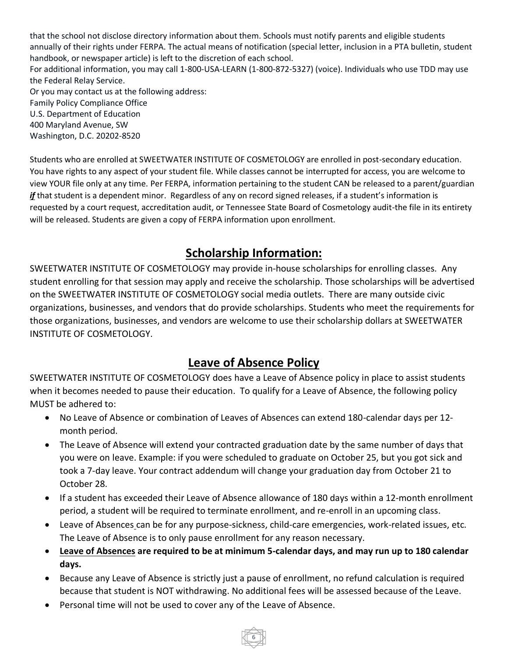that the school not disclose directory information about them. Schools must notify parents and eligible students annually of their rights under FERPA. The actual means of notification (special letter, inclusion in a PTA bulletin, student handbook, or newspaper article) is left to the discretion of each school. For additional information, you may call 1-800-USA-LEARN (1-800-872-5327) (voice). Individuals who use TDD may use the Federal Relay Service. Or you may contact us at the following address: Family Policy Compliance Office U.S. Department of Education 400 Maryland Avenue, SW Washington, D.C. 20202-8520

Students who are enrolled at SWEETWATER INSTITUTE OF COSMETOLOGY are enrolled in post-secondary education. You have rights to any aspect of your student file. While classes cannot be interrupted for access, you are welcome to view YOUR file only at any time. Per FERPA, information pertaining to the student CAN be released to a parent/guardian *if* that student is a dependent minor. Regardless of any on record signed releases, if a student's information is requested by a court request, accreditation audit, or Tennessee State Board of Cosmetology audit-the file in its entirety will be released. Students are given a copy of FERPA information upon enrollment.

# **Scholarship Information:**

SWEETWATER INSTITUTE OF COSMETOLOGY may provide in-house scholarships for enrolling classes. Any student enrolling for that session may apply and receive the scholarship. Those scholarships will be advertised on the SWEETWATER INSTITUTE OF COSMETOLOGY social media outlets. There are many outside civic organizations, businesses, and vendors that do provide scholarships. Students who meet the requirements for those organizations, businesses, and vendors are welcome to use their scholarship dollars at SWEETWATER INSTITUTE OF COSMETOLOGY.

## **Leave of Absence Policy**

SWEETWATER INSTITUTE OF COSMETOLOGY does have a Leave of Absence policy in place to assist students when it becomes needed to pause their education. To qualify for a Leave of Absence, the following policy MUST be adhered to:

- No Leave of Absence or combination of Leaves of Absences can extend 180-calendar days per 12 month period.
- The Leave of Absence will extend your contracted graduation date by the same number of days that you were on leave. Example: if you were scheduled to graduate on October 25, but you got sick and took a 7-day leave. Your contract addendum will change your graduation day from October 21 to October 28.
- If a student has exceeded their Leave of Absence allowance of 180 days within a 12-month enrollment period, a student will be required to terminate enrollment, and re-enroll in an upcoming class.
- Leave of Absences can be for any purpose-sickness, child-care emergencies, work-related issues, etc. The Leave of Absence is to only pause enrollment for any reason necessary.
- **Leave of Absences are required to be at minimum 5-calendar days, and may run up to 180 calendar days.**
- Because any Leave of Absence is strictly just a pause of enrollment, no refund calculation is required because that student is NOT withdrawing. No additional fees will be assessed because of the Leave.
- Personal time will not be used to cover any of the Leave of Absence.

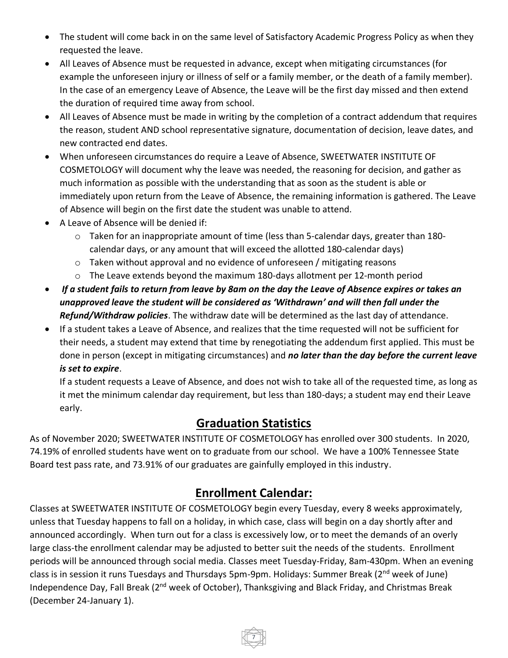- The student will come back in on the same level of Satisfactory Academic Progress Policy as when they requested the leave.
- All Leaves of Absence must be requested in advance, except when mitigating circumstances (for example the unforeseen injury or illness of self or a family member, or the death of a family member). In the case of an emergency Leave of Absence, the Leave will be the first day missed and then extend the duration of required time away from school.
- All Leaves of Absence must be made in writing by the completion of a contract addendum that requires the reason, student AND school representative signature, documentation of decision, leave dates, and new contracted end dates.
- When unforeseen circumstances do require a Leave of Absence, SWEETWATER INSTITUTE OF COSMETOLOGY will document why the leave was needed, the reasoning for decision, and gather as much information as possible with the understanding that as soon as the student is able or immediately upon return from the Leave of Absence, the remaining information is gathered. The Leave of Absence will begin on the first date the student was unable to attend.
- A Leave of Absence will be denied if:
	- $\circ$  Taken for an inappropriate amount of time (less than 5-calendar days, greater than 180calendar days, or any amount that will exceed the allotted 180-calendar days)
	- o Taken without approval and no evidence of unforeseen / mitigating reasons
	- o The Leave extends beyond the maximum 180-days allotment per 12-month period
- *If a student fails to return from leave by 8am on the day the Leave of Absence expires or takes an unapproved leave the student will be considered as 'Withdrawn' and will then fall under the Refund/Withdraw policies*. The withdraw date will be determined as the last day of attendance.
- If a student takes a Leave of Absence, and realizes that the time requested will not be sufficient for their needs, a student may extend that time by renegotiating the addendum first applied. This must be done in person (except in mitigating circumstances) and *no later than the day before the current leave is set to expire*.

If a student requests a Leave of Absence, and does not wish to take all of the requested time, as long as it met the minimum calendar day requirement, but less than 180-days; a student may end their Leave early.

# **Graduation Statistics**

As of November 2020; SWEETWATER INSTITUTE OF COSMETOLOGY has enrolled over 300 students. In 2020, 74.19% of enrolled students have went on to graduate from our school. We have a 100% Tennessee State Board test pass rate, and 73.91% of our graduates are gainfully employed in this industry.

# **Enrollment Calendar:**

Classes at SWEETWATER INSTITUTE OF COSMETOLOGY begin every Tuesday, every 8 weeks approximately, unless that Tuesday happens to fall on a holiday, in which case, class will begin on a day shortly after and announced accordingly. When turn out for a class is excessively low, or to meet the demands of an overly large class-the enrollment calendar may be adjusted to better suit the needs of the students. Enrollment periods will be announced through social media. Classes meet Tuesday-Friday, 8am-430pm. When an evening class is in session it runs Tuesdays and Thursdays 5pm-9pm. Holidays: Summer Break (2<sup>nd</sup> week of June) Independence Day, Fall Break (2<sup>nd</sup> week of October), Thanksgiving and Black Friday, and Christmas Break (December 24-January 1).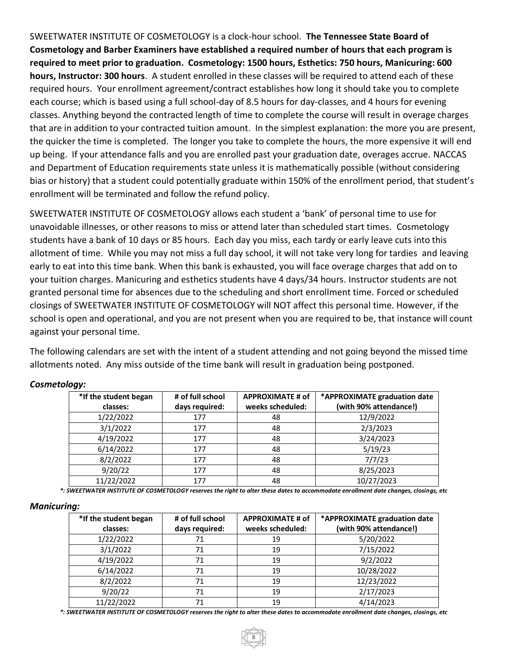SWEETWATER INSTITUTE OF COSMETOLOGY is a clock-hour school. **The Tennessee State Board of Cosmetology and Barber Examiners have established a required number of hours that each program is required to meet prior to graduation. Cosmetology: 1500 hours, Esthetics: 750 hours, Manicuring: 600 hours, Instructor: 300 hours**. A student enrolled in these classes will be required to attend each of these required hours. Your enrollment agreement/contract establishes how long it should take you to complete each course; which is based using a full school-day of 8.5 hours for day-classes, and 4 hours for evening classes. Anything beyond the contracted length of time to complete the course will result in overage charges that are in addition to your contracted tuition amount. In the simplest explanation: the more you are present, the quicker the time is completed. The longer you take to complete the hours, the more expensive it will end up being. If your attendance falls and you are enrolled past your graduation date, overages accrue. NACCAS and Department of Education requirements state unless it is mathematically possible (without considering bias or history) that a student could potentially graduate within 150% of the enrollment period, that student's enrollment will be terminated and follow the refund policy.

SWEETWATER INSTITUTE OF COSMETOLOGY allows each student a 'bank' of personal time to use for unavoidable illnesses, or other reasons to miss or attend later than scheduled start times. Cosmetology students have a bank of 10 days or 85 hours. Each day you miss, each tardy or early leave cuts into this allotment of time. While you may not miss a full day school, it will not take very long for tardies and leaving early to eat into this time bank. When this bank is exhausted, you will face overage charges that add on to your tuition charges. Manicuring and esthetics students have 4 days/34 hours. Instructor students are not granted personal time for absences due to the scheduling and short enrollment time. Forced or scheduled closings of SWEETWATER INSTITUTE OF COSMETOLOGY will NOT affect this personal time. However, if the school is open and operational, and you are not present when you are required to be, that instance will count against your personal time.

The following calendars are set with the intent of a student attending and not going beyond the missed time allotments noted. Any miss outside of the time bank will result in graduation being postponed.

| Cosmetology: |  |
|--------------|--|
|--------------|--|

| *If the student began | # of full school | <b>APPROXIMATE # of</b> | *APPROXIMATE graduation date |
|-----------------------|------------------|-------------------------|------------------------------|
| classes:              | days required:   | weeks scheduled:        | (with 90% attendance!)       |
| 1/22/2022             | 177              | 48                      | 12/9/2022                    |
| 3/1/2022              | 177              | 48                      | 2/3/2023                     |
| 4/19/2022             | 177              | 48                      | 3/24/2023                    |
| 6/14/2022             | 177              | 48                      | 5/19/23                      |
| 8/2/2022              | 177              | 48                      | 7/7/23                       |
| 9/20/22               | 177              | 48                      | 8/25/2023                    |
| 11/22/2022            | 177              | 48                      | 10/27/2023                   |

*\*: SWEETWATER INSTITUTE OF COSMETOLOGY reserves the right to alter these dates to accommodate enrollment date changes, closings, etc*

#### *Manicuring:*

| *If the student began<br>classes: | # of full school<br>days required: | <b>APPROXIMATE # of</b><br>weeks scheduled: | *APPROXIMATE graduation date<br>(with 90% attendance!) |
|-----------------------------------|------------------------------------|---------------------------------------------|--------------------------------------------------------|
| 1/22/2022                         | 71                                 | 19                                          | 5/20/2022                                              |
| 3/1/2022                          | 71                                 | 19                                          | 7/15/2022                                              |
| 4/19/2022                         | 71                                 | 19                                          | 9/2/2022                                               |
| 6/14/2022                         | 71                                 | 19                                          | 10/28/2022                                             |
| 8/2/2022                          | 71                                 | 19                                          | 12/23/2022                                             |
| 9/20/22                           | 71                                 | 19                                          | 2/17/2023                                              |
| 11/22/2022                        | 71                                 | 19                                          | 4/14/2023                                              |

*\*: SWEETWATER INSTITUTE OF COSMETOLOGY reserves the right to alter these dates to accommodate enrollment date changes, closings, etc*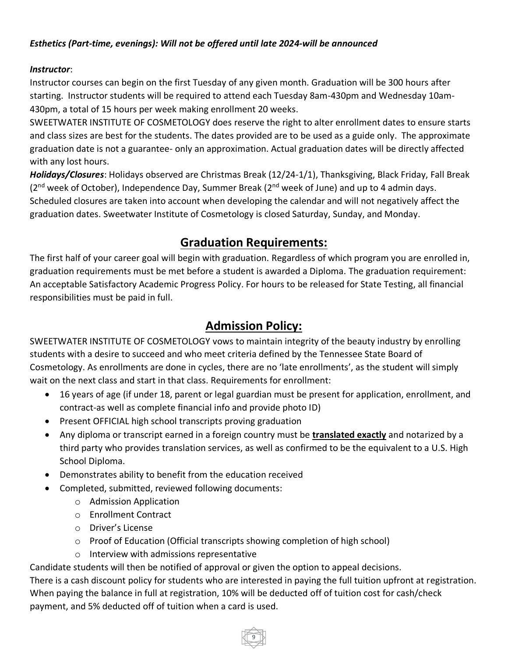#### *Esthetics (Part-time, evenings): Will not be offered until late 2024-will be announced*

#### *Instructor*:

Instructor courses can begin on the first Tuesday of any given month. Graduation will be 300 hours after starting. Instructor students will be required to attend each Tuesday 8am-430pm and Wednesday 10am-430pm, a total of 15 hours per week making enrollment 20 weeks.

SWEETWATER INSTITUTE OF COSMETOLOGY does reserve the right to alter enrollment dates to ensure starts and class sizes are best for the students. The dates provided are to be used as a guide only. The approximate graduation date is not a guarantee- only an approximation. Actual graduation dates will be directly affected with any lost hours.

*Holidays/Closures*: Holidays observed are Christmas Break (12/24-1/1), Thanksgiving, Black Friday, Fall Break (2<sup>nd</sup> week of October), Independence Day, Summer Break (2<sup>nd</sup> week of June) and up to 4 admin days. Scheduled closures are taken into account when developing the calendar and will not negatively affect the graduation dates. Sweetwater Institute of Cosmetology is closed Saturday, Sunday, and Monday.

# **Graduation Requirements:**

The first half of your career goal will begin with graduation. Regardless of which program you are enrolled in, graduation requirements must be met before a student is awarded a Diploma. The graduation requirement: An acceptable Satisfactory Academic Progress Policy. For hours to be released for State Testing, all financial responsibilities must be paid in full.

## **Admission Policy:**

SWEETWATER INSTITUTE OF COSMETOLOGY vows to maintain integrity of the beauty industry by enrolling students with a desire to succeed and who meet criteria defined by the Tennessee State Board of Cosmetology. As enrollments are done in cycles, there are no 'late enrollments', as the student will simply wait on the next class and start in that class. Requirements for enrollment:

- 16 years of age (if under 18, parent or legal guardian must be present for application, enrollment, and contract-as well as complete financial info and provide photo ID)
- Present OFFICIAL high school transcripts proving graduation
- Any diploma or transcript earned in a foreign country must be **translated exactly** and notarized by a third party who provides translation services, as well as confirmed to be the equivalent to a U.S. High School Diploma.
- Demonstrates ability to benefit from the education received
- Completed, submitted, reviewed following documents:
	- o Admission Application
	- o Enrollment Contract
	- o Driver's License
	- $\circ$  Proof of Education (Official transcripts showing completion of high school)
	- o Interview with admissions representative

Candidate students will then be notified of approval or given the option to appeal decisions.

There is a cash discount policy for students who are interested in paying the full tuition upfront at registration. When paying the balance in full at registration, 10% will be deducted off of tuition cost for cash/check payment, and 5% deducted off of tuition when a card is used.

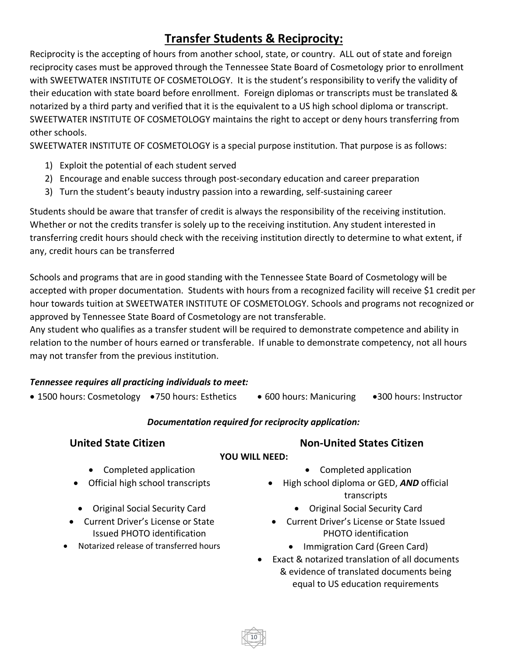# **Transfer Students & Reciprocity:**

Reciprocity is the accepting of hours from another school, state, or country. ALL out of state and foreign reciprocity cases must be approved through the Tennessee State Board of Cosmetology prior to enrollment with SWEETWATER INSTITUTE OF COSMETOLOGY. It is the student's responsibility to verify the validity of their education with state board before enrollment. Foreign diplomas or transcripts must be translated & notarized by a third party and verified that it is the equivalent to a US high school diploma or transcript. SWEETWATER INSTITUTE OF COSMETOLOGY maintains the right to accept or deny hours transferring from other schools.

SWEETWATER INSTITUTE OF COSMETOLOGY is a special purpose institution. That purpose is as follows:

- 1) Exploit the potential of each student served
- 2) Encourage and enable success through post-secondary education and career preparation
- 3) Turn the student's beauty industry passion into a rewarding, self-sustaining career

Students should be aware that transfer of credit is always the responsibility of the receiving institution. Whether or not the credits transfer is solely up to the receiving institution. Any student interested in transferring credit hours should check with the receiving institution directly to determine to what extent, if any, credit hours can be transferred

Schools and programs that are in good standing with the Tennessee State Board of Cosmetology will be accepted with proper documentation. Students with hours from a recognized facility will receive \$1 credit per hour towards tuition at SWEETWATER INSTITUTE OF COSMETOLOGY. Schools and programs not recognized or approved by Tennessee State Board of Cosmetology are not transferable.

Any student who qualifies as a transfer student will be required to demonstrate competence and ability in relation to the number of hours earned or transferable. If unable to demonstrate competency, not all hours may not transfer from the previous institution.

#### *Tennessee requires all practicing individuals to meet:*

- 
- 1500 hours: Cosmetology •750 hours: Esthetics 600 hours: Manicuring •300 hours: Instructor

#### *Documentation required for reciprocity application:*

**YOU WILL NEED:**

10

### • Completed application • Completed application

- 
- Original Social Security Card **•** Original Social Security Card
- Current Driver's License or State Issued PHOTO identification
- Notarized release of transferred hours Immigration Card (Green Card)

## **United State Citizen Non-United States Citizen**

- 
- Official high school transcripts High school diploma or GED, **AND** official transcripts
	-
	- Current Driver's License or State Issued PHOTO identification
		-
	- Exact & notarized translation of all documents & evidence of translated documents being equal to US education requirements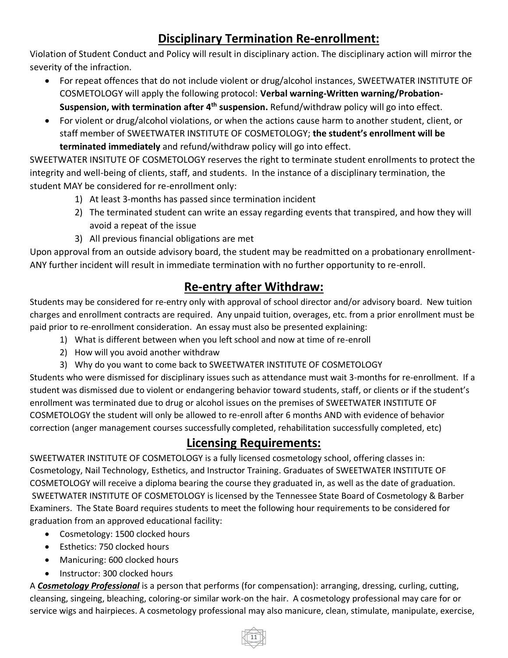# **Disciplinary Termination Re-enrollment:**

Violation of Student Conduct and Policy will result in disciplinary action. The disciplinary action will mirror the severity of the infraction.

- For repeat offences that do not include violent or drug/alcohol instances, SWEETWATER INSTITUTE OF COSMETOLOGY will apply the following protocol: **Verbal warning-Written warning/Probation-Suspension, with termination after 4th suspension.** Refund/withdraw policy will go into effect.
- For violent or drug/alcohol violations, or when the actions cause harm to another student, client, or staff member of SWEETWATER INSTITUTE OF COSMETOLOGY; **the student's enrollment will be terminated immediately** and refund/withdraw policy will go into effect.

SWEETWATER INSITUTE OF COSMETOLOGY reserves the right to terminate student enrollments to protect the integrity and well-being of clients, staff, and students. In the instance of a disciplinary termination, the student MAY be considered for re-enrollment only:

- 1) At least 3-months has passed since termination incident
- 2) The terminated student can write an essay regarding events that transpired, and how they will avoid a repeat of the issue
- 3) All previous financial obligations are met

Upon approval from an outside advisory board, the student may be readmitted on a probationary enrollment-ANY further incident will result in immediate termination with no further opportunity to re-enroll.

# **Re-entry after Withdraw:**

Students may be considered for re-entry only with approval of school director and/or advisory board. New tuition charges and enrollment contracts are required. Any unpaid tuition, overages, etc. from a prior enrollment must be paid prior to re-enrollment consideration. An essay must also be presented explaining:

- 1) What is different between when you left school and now at time of re-enroll
- 2) How will you avoid another withdraw
- 3) Why do you want to come back to SWEETWATER INSTITUTE OF COSMETOLOGY

Students who were dismissed for disciplinary issues such as attendance must wait 3-months for re-enrollment. If a student was dismissed due to violent or endangering behavior toward students, staff, or clients or if the student's enrollment was terminated due to drug or alcohol issues on the premises of SWEETWATER INSTITUTE OF COSMETOLOGY the student will only be allowed to re-enroll after 6 months AND with evidence of behavior correction (anger management courses successfully completed, rehabilitation successfully completed, etc)

## **Licensing Requirements:**

SWEETWATER INSTITUTE OF COSMETOLOGY is a fully licensed cosmetology school, offering classes in: Cosmetology, Nail Technology, Esthetics, and Instructor Training. Graduates of SWEETWATER INSTITUTE OF COSMETOLOGY will receive a diploma bearing the course they graduated in, as well as the date of graduation. SWEETWATER INSTITUTE OF COSMETOLOGY is licensed by the Tennessee State Board of Cosmetology & Barber Examiners. The State Board requires students to meet the following hour requirements to be considered for graduation from an approved educational facility:

- Cosmetology: 1500 clocked hours
- Esthetics: 750 clocked hours
- Manicuring: 600 clocked hours
- Instructor: 300 clocked hours

A *Cosmetology Professional* is a person that performs (for compensation): arranging, dressing, curling, cutting, cleansing, singeing, bleaching, coloring-or similar work-on the hair. A cosmetology professional may care for or service wigs and hairpieces. A cosmetology professional may also manicure, clean, stimulate, manipulate, exercise,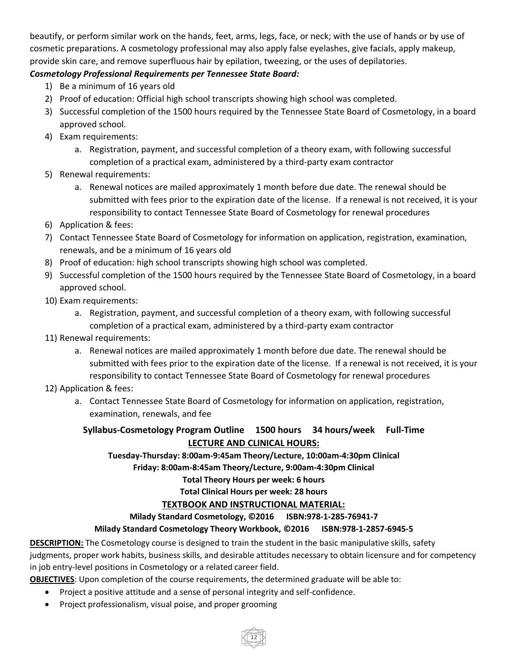beautify, or perform similar work on the hands, feet, arms, legs, face, or neck; with the use of hands or by use of cosmetic preparations. A cosmetology professional may also apply false eyelashes, give facials, apply makeup, provide skin care, and remove superfluous hair by epilation, tweezing, or the uses of depilatories.

#### *Cosmetology Professional Requirements per Tennessee State Board:*

- 1) Be a minimum of 16 years old
- 2) Proof of education: Official high school transcripts showing high school was completed.
- 3) Successful completion of the 1500 hours required by the Tennessee State Board of Cosmetology, in a board approved school.
- 4) Exam requirements:
	- a. Registration, payment, and successful completion of a theory exam, with following successful completion of a practical exam, administered by a third-party exam contractor
- 5) Renewal requirements:
	- a. Renewal notices are mailed approximately 1 month before due date. The renewal should be submitted with fees prior to the expiration date of the license. If a renewal is not received, it is your responsibility to contact Tennessee State Board of Cosmetology for renewal procedures
- 6) Application & fees:
- 7) Contact Tennessee State Board of Cosmetology for information on application, registration, examination, renewals, and be a minimum of 16 years old
- 8) Proof of education: high school transcripts showing high school was completed.
- 9) Successful completion of the 1500 hours required by the Tennessee State Board of Cosmetology, in a board approved school.
- 10) Exam requirements:
	- a. Registration, payment, and successful completion of a theory exam, with following successful completion of a practical exam, administered by a third-party exam contractor
- 11) Renewal requirements:
	- a. Renewal notices are mailed approximately 1 month before due date. The renewal should be submitted with fees prior to the expiration date of the license. If a renewal is not received, it is your responsibility to contact Tennessee State Board of Cosmetology for renewal procedures
- 12) Application & fees:
	- a. Contact Tennessee State Board of Cosmetology for information on application, registration, examination, renewals, and fee

#### **Syllabus-Cosmetology Program Outline 1500 hours 34 hours/week Full-Time LECTURE AND CLINICAL HOURS:**

#### **Tuesday-Thursday: 8:00am-9:45am Theory/Lecture, 10:00am-4:30pm Clinical**

**Friday: 8:00am-8:45am Theory/Lecture, 9:00am-4:30pm Clinical**

#### **Total Theory Hours per week: 6 hours**

#### **Total Clinical Hours per week: 28 hours**

#### **TEXTBOOK AND INSTRUCTIONAL MATERIAL:**

#### **Milady Standard Cosmetology, ©2016 ISBN:978-1-285-76941-7**

#### **Milady Standard Cosmetology Theory Workbook, ©2016 ISBN:978-1-2857-6945-5**

**DESCRIPTION:** The Cosmetology course is designed to train the student in the basic manipulative skills, safety judgments, proper work habits, business skills, and desirable attitudes necessary to obtain licensure and for competency in job entry-level positions in Cosmetology or a related career field.

12

**OBJECTIVES**: Upon completion of the course requirements, the determined graduate will be able to:

- Project a positive attitude and a sense of personal integrity and self-confidence.
- Project professionalism, visual poise, and proper grooming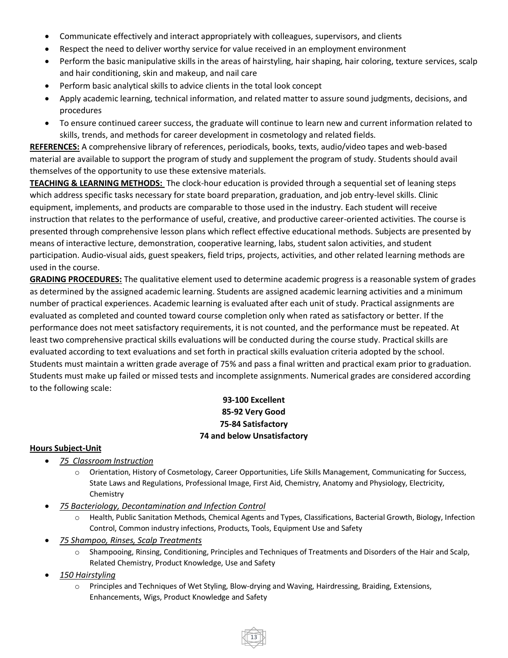- Communicate effectively and interact appropriately with colleagues, supervisors, and clients
- Respect the need to deliver worthy service for value received in an employment environment
- Perform the basic manipulative skills in the areas of hairstyling, hair shaping, hair coloring, texture services, scalp and hair conditioning, skin and makeup, and nail care
- Perform basic analytical skills to advice clients in the total look concept
- Apply academic learning, technical information, and related matter to assure sound judgments, decisions, and procedures
- To ensure continued career success, the graduate will continue to learn new and current information related to skills, trends, and methods for career development in cosmetology and related fields.

**REFERENCES:** A comprehensive library of references, periodicals, books, texts, audio/video tapes and web-based material are available to support the program of study and supplement the program of study. Students should avail themselves of the opportunity to use these extensive materials.

**TEACHING & LEARNING METHODS:** The clock-hour education is provided through a sequential set of leaning steps which address specific tasks necessary for state board preparation, graduation, and job entry-level skills. Clinic equipment, implements, and products are comparable to those used in the industry. Each student will receive instruction that relates to the performance of useful, creative, and productive career-oriented activities. The course is presented through comprehensive lesson plans which reflect effective educational methods. Subjects are presented by means of interactive lecture, demonstration, cooperative learning, labs, student salon activities, and student participation. Audio-visual aids, guest speakers, field trips, projects, activities, and other related learning methods are used in the course.

**GRADING PROCEDURES:** The qualitative element used to determine academic progress is a reasonable system of grades as determined by the assigned academic learning. Students are assigned academic learning activities and a minimum number of practical experiences. Academic learning is evaluated after each unit of study. Practical assignments are evaluated as completed and counted toward course completion only when rated as satisfactory or better. If the performance does not meet satisfactory requirements, it is not counted, and the performance must be repeated. At least two comprehensive practical skills evaluations will be conducted during the course study. Practical skills are evaluated according to text evaluations and set forth in practical skills evaluation criteria adopted by the school. Students must maintain a written grade average of 75% and pass a final written and practical exam prior to graduation. Students must make up failed or missed tests and incomplete assignments. Numerical grades are considered according to the following scale:

#### **93-100 Excellent 85-92 Very Good 75-84 Satisfactory 74 and below Unsatisfactory**

#### **Hours Subject-Unit**

- *75 Classroom Instruction*
	- o Orientation, History of Cosmetology, Career Opportunities, Life Skills Management, Communicating for Success, State Laws and Regulations, Professional Image, First Aid, Chemistry, Anatomy and Physiology, Electricity, **Chemistry**
- *75 Bacteriology, Decontamination and Infection Control*
	- o Health, Public Sanitation Methods, Chemical Agents and Types, Classifications, Bacterial Growth, Biology, Infection Control, Common industry infections, Products, Tools, Equipment Use and Safety
- *75 Shampoo, Rinses, Scalp Treatments*
	- o Shampooing, Rinsing, Conditioning, Principles and Techniques of Treatments and Disorders of the Hair and Scalp, Related Chemistry, Product Knowledge, Use and Safety
- *150 Hairstyling*
	- o Principles and Techniques of Wet Styling, Blow-drying and Waving, Hairdressing, Braiding, Extensions, Enhancements, Wigs, Product Knowledge and Safety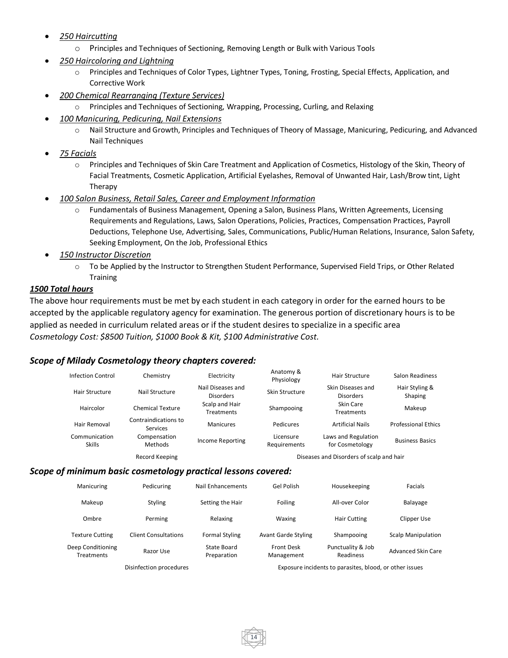- *250 Haircutting*
	- o Principles and Techniques of Sectioning, Removing Length or Bulk with Various Tools
- *250 Haircoloring and Lightning*
	- o Principles and Techniques of Color Types, Lightner Types, Toning, Frosting, Special Effects, Application, and Corrective Work
- *200 Chemical Rearranging (Texture Services)*
	- o Principles and Techniques of Sectioning, Wrapping, Processing, Curling, and Relaxing
- *100 Manicuring, Pedicuring, Nail Extensions*
	- Nail Structure and Growth, Principles and Techniques of Theory of Massage, Manicuring, Pedicuring, and Advanced Nail Techniques
- *75 Facials*
	- o Principles and Techniques of Skin Care Treatment and Application of Cosmetics, Histology of the Skin, Theory of Facial Treatments, Cosmetic Application, Artificial Eyelashes, Removal of Unwanted Hair, Lash/Brow tint, Light Therapy
- *100 Salon Business, Retail Sales, Career and Employment Information*
	- o Fundamentals of Business Management, Opening a Salon, Business Plans, Written Agreements, Licensing Requirements and Regulations, Laws, Salon Operations, Policies, Practices, Compensation Practices, Payroll Deductions, Telephone Use, Advertising, Sales, Communications, Public/Human Relations, Insurance, Salon Safety, Seeking Employment, On the Job, Professional Ethics
- *150 Instructor Discretion*
	- o To be Applied by the Instructor to Strengthen Student Performance, Supervised Field Trips, or Other Related **Training**

#### *1500 Total hours*

The above hour requirements must be met by each student in each category in order for the earned hours to be accepted by the applicable regulatory agency for examination. The generous portion of discretionary hours is to be applied as needed in curriculum related areas or if the student desires to specialize in a specific area *Cosmetology Cost: \$8500 Tuition, \$1000 Book & Kit, \$100 Administrative Cost.* 

#### *Scope of Milady Cosmetology theory chapters covered:*

| Infection Control              | Chemistry                        | Electricity                           | Anatomy &<br>Physiology   | Hair Structure                           | Salon Readiness            |
|--------------------------------|----------------------------------|---------------------------------------|---------------------------|------------------------------------------|----------------------------|
| Hair Structure                 | Nail Structure                   | Nail Diseases and<br><b>Disorders</b> | Skin Structure            | Skin Diseases and<br><b>Disorders</b>    | Hair Styling &<br>Shaping  |
| Haircolor                      | <b>Chemical Texture</b>          | Scalp and Hair<br><b>Treatments</b>   | Shampooing                | Skin Care<br><b>Treatments</b>           | Makeup                     |
| Hair Removal                   | Contraindications to<br>Services | <b>Manicures</b>                      | Pedicures                 | <b>Artificial Nails</b>                  | <b>Professional Ethics</b> |
| Communication<br><b>Skills</b> | Compensation<br><b>Methods</b>   | <b>Income Reporting</b>               | Licensure<br>Requirements | Laws and Regulation<br>for Cosmetology   | <b>Business Basics</b>     |
|                                | Record Keeping                   |                                       |                           | Diseases and Disorders of scalp and hair |                            |

#### *Scope of minimum basic cosmetology practical lessons covered:*

| Manicuring                             | Pedicuring                  | Nail Enhancements          | Gel Polish                 | Housekeeping                   | Facials                   |
|----------------------------------------|-----------------------------|----------------------------|----------------------------|--------------------------------|---------------------------|
| Makeup                                 | Styling                     | Setting the Hair           | Foiling                    | All-over Color                 | Balayage                  |
| Ombre                                  | Perming                     | Relaxing                   | Waxing                     | <b>Hair Cutting</b>            | Clipper Use               |
| <b>Texture Cutting</b>                 | <b>Client Consultations</b> | <b>Formal Styling</b>      | <b>Avant Garde Styling</b> | Shampooing                     | <b>Scalp Manipulation</b> |
| Deep Conditioning<br><b>Treatments</b> | Razor Use                   | State Board<br>Preparation | Front Desk<br>Management   | Punctuality & Job<br>Readiness | Advanced Skin Care        |

14

Disinfection procedures Exposure incidents to parasites, blood, or other issues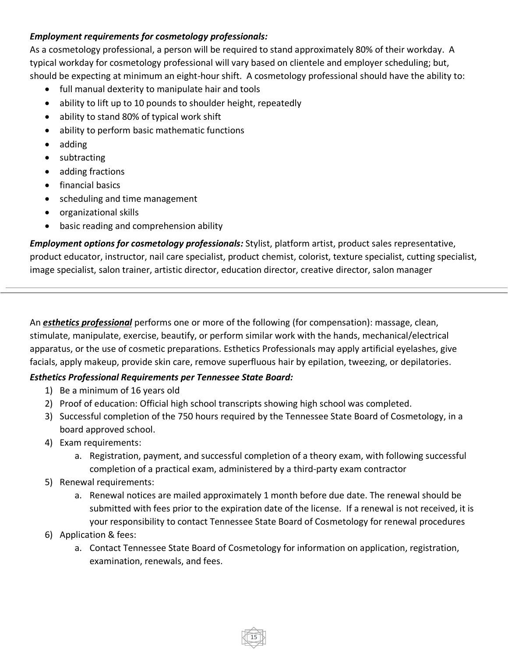#### *Employment requirements for cosmetology professionals:*

As a cosmetology professional, a person will be required to stand approximately 80% of their workday. A typical workday for cosmetology professional will vary based on clientele and employer scheduling; but, should be expecting at minimum an eight-hour shift. A cosmetology professional should have the ability to:

- full manual dexterity to manipulate hair and tools
- ability to lift up to 10 pounds to shoulder height, repeatedly
- ability to stand 80% of typical work shift
- ability to perform basic mathematic functions
- adding
- subtracting
- adding fractions
- financial basics
- scheduling and time management
- organizational skills
- basic reading and comprehension ability

*Employment options for cosmetology professionals:* Stylist, platform artist, product sales representative, product educator, instructor, nail care specialist, product chemist, colorist, texture specialist, cutting specialist, image specialist, salon trainer, artistic director, education director, creative director, salon manager

An *esthetics professional* performs one or more of the following (for compensation): massage, clean, stimulate, manipulate, exercise, beautify, or perform similar work with the hands, mechanical/electrical apparatus, or the use of cosmetic preparations. Esthetics Professionals may apply artificial eyelashes, give facials, apply makeup, provide skin care, remove superfluous hair by epilation, tweezing, or depilatories.

#### *Esthetics Professional Requirements per Tennessee State Board:*

- 1) Be a minimum of 16 years old
- 2) Proof of education: Official high school transcripts showing high school was completed.
- 3) Successful completion of the 750 hours required by the Tennessee State Board of Cosmetology, in a board approved school.
- 4) Exam requirements:
	- a. Registration, payment, and successful completion of a theory exam, with following successful completion of a practical exam, administered by a third-party exam contractor
- 5) Renewal requirements:
	- a. Renewal notices are mailed approximately 1 month before due date. The renewal should be submitted with fees prior to the expiration date of the license. If a renewal is not received, it is your responsibility to contact Tennessee State Board of Cosmetology for renewal procedures
- 6) Application & fees:
	- a. Contact Tennessee State Board of Cosmetology for information on application, registration, examination, renewals, and fees.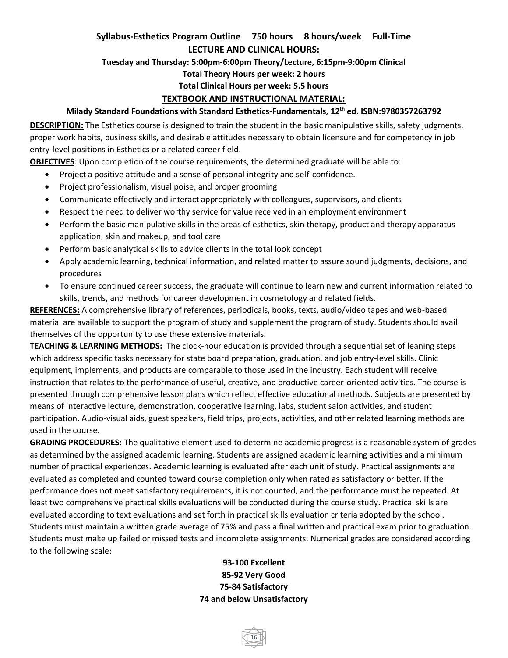#### **Syllabus-Esthetics Program Outline 750 hours 8 hours/week Full-Time LECTURE AND CLINICAL HOURS:**

**Tuesday and Thursday: 5:00pm-6:00pm Theory/Lecture, 6:15pm-9:00pm Clinical**

**Total Theory Hours per week: 2 hours**

#### **Total Clinical Hours per week: 5.5 hours**

#### **TEXTBOOK AND INSTRUCTIONAL MATERIAL:**

#### **Milady Standard Foundations with Standard Esthetics-Fundamentals, 12th ed. ISBN:9780357263792**

**DESCRIPTION:** The Esthetics course is designed to train the student in the basic manipulative skills, safety judgments, proper work habits, business skills, and desirable attitudes necessary to obtain licensure and for competency in job entry-level positions in Esthetics or a related career field.

**OBJECTIVES**: Upon completion of the course requirements, the determined graduate will be able to:

- Project a positive attitude and a sense of personal integrity and self-confidence.
- Project professionalism, visual poise, and proper grooming
- Communicate effectively and interact appropriately with colleagues, supervisors, and clients
- Respect the need to deliver worthy service for value received in an employment environment
- Perform the basic manipulative skills in the areas of esthetics, skin therapy, product and therapy apparatus application, skin and makeup, and tool care
- Perform basic analytical skills to advice clients in the total look concept
- Apply academic learning, technical information, and related matter to assure sound judgments, decisions, and procedures
- To ensure continued career success, the graduate will continue to learn new and current information related to skills, trends, and methods for career development in cosmetology and related fields.

**REFERENCES:** A comprehensive library of references, periodicals, books, texts, audio/video tapes and web-based material are available to support the program of study and supplement the program of study. Students should avail themselves of the opportunity to use these extensive materials.

**TEACHING & LEARNING METHODS:** The clock-hour education is provided through a sequential set of leaning steps which address specific tasks necessary for state board preparation, graduation, and job entry-level skills. Clinic equipment, implements, and products are comparable to those used in the industry. Each student will receive instruction that relates to the performance of useful, creative, and productive career-oriented activities. The course is presented through comprehensive lesson plans which reflect effective educational methods. Subjects are presented by means of interactive lecture, demonstration, cooperative learning, labs, student salon activities, and student participation. Audio-visual aids, guest speakers, field trips, projects, activities, and other related learning methods are used in the course.

**GRADING PROCEDURES:** The qualitative element used to determine academic progress is a reasonable system of grades as determined by the assigned academic learning. Students are assigned academic learning activities and a minimum number of practical experiences. Academic learning is evaluated after each unit of study. Practical assignments are evaluated as completed and counted toward course completion only when rated as satisfactory or better. If the performance does not meet satisfactory requirements, it is not counted, and the performance must be repeated. At least two comprehensive practical skills evaluations will be conducted during the course study. Practical skills are evaluated according to text evaluations and set forth in practical skills evaluation criteria adopted by the school. Students must maintain a written grade average of 75% and pass a final written and practical exam prior to graduation. Students must make up failed or missed tests and incomplete assignments. Numerical grades are considered according to the following scale:

> **93-100 Excellent 85-92 Very Good 75-84 Satisfactory 74 and below Unsatisfactory**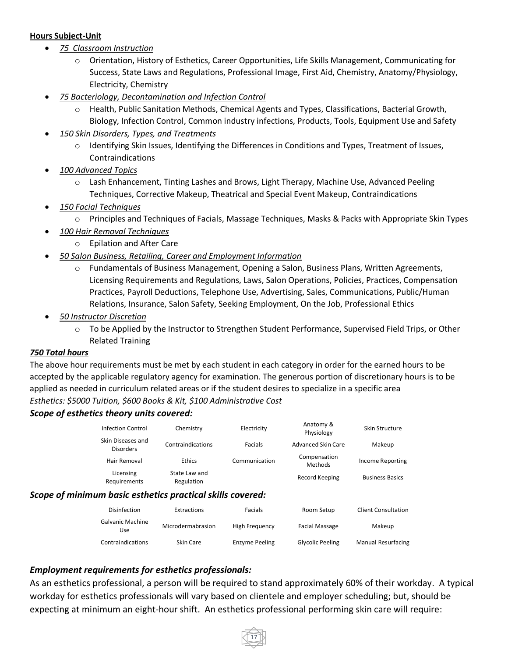#### **Hours Subject-Unit**

- *75 Classroom Instruction*
	- o Orientation, History of Esthetics, Career Opportunities, Life Skills Management, Communicating for Success, State Laws and Regulations, Professional Image, First Aid, Chemistry, Anatomy/Physiology, Electricity, Chemistry
- *75 Bacteriology, Decontamination and Infection Control*
	- o Health, Public Sanitation Methods, Chemical Agents and Types, Classifications, Bacterial Growth, Biology, Infection Control, Common industry infections, Products, Tools, Equipment Use and Safety
- *150 Skin Disorders, Types, and Treatments*
	- $\circ$  Identifying Skin Issues, Identifying the Differences in Conditions and Types, Treatment of Issues, Contraindications
- *100 Advanced Topics*
	- o Lash Enhancement, Tinting Lashes and Brows, Light Therapy, Machine Use, Advanced Peeling Techniques, Corrective Makeup, Theatrical and Special Event Makeup, Contraindications
- *150 Facial Techniques*
	- o Principles and Techniques of Facials, Massage Techniques, Masks & Packs with Appropriate Skin Types
- *100 Hair Removal Techniques*
	- o Epilation and After Care
- *50 Salon Business, Retailing, Career and Employment Information*
	- o Fundamentals of Business Management, Opening a Salon, Business Plans, Written Agreements, Licensing Requirements and Regulations, Laws, Salon Operations, Policies, Practices, Compensation Practices, Payroll Deductions, Telephone Use, Advertising, Sales, Communications, Public/Human Relations, Insurance, Salon Safety, Seeking Employment, On the Job, Professional Ethics
- *50 Instructor Discretion*
	- o To be Applied by the Instructor to Strengthen Student Performance, Supervised Field Trips, or Other Related Training

#### *750 Total hours*

The above hour requirements must be met by each student in each category in order for the earned hours to be accepted by the applicable regulatory agency for examination. The generous portion of discretionary hours is to be applied as needed in curriculum related areas or if the student desires to specialize in a specific area *Esthetics: \$5000 Tuition, \$600 Books & Kit, \$100 Administrative Cost*

#### *Scope of esthetics theory units covered:*

| Infection Control                     | Chemistry                   | Electricity   | Anatomy &<br>Physiology | Skin Structure         |
|---------------------------------------|-----------------------------|---------------|-------------------------|------------------------|
| Skin Diseases and<br><b>Disorders</b> | Contraindications           | Facials       | Advanced Skin Care      | Makeup                 |
| Hair Removal                          | Ethics                      | Communication | Compensation<br>Methods | Income Reporting       |
| Licensing<br>Requirements             | State Law and<br>Regulation |               | Record Keeping          | <b>Business Basics</b> |
|                                       |                             |               |                         |                        |

#### *Scope of minimum basic esthetics practical skills covered:*

| Disinfection                   | Extractions       | <b>Facials</b>        | Room Setup              | <b>Client Consultation</b> |
|--------------------------------|-------------------|-----------------------|-------------------------|----------------------------|
| <b>Galvanic Machine</b><br>Use | Microdermabrasion | <b>High Frequency</b> | <b>Facial Massage</b>   | Makeup                     |
| Contraindications              | Skin Care         | Enzyme Peeling        | <b>Glycolic Peeling</b> | <b>Manual Resurfacing</b>  |

#### *Employment requirements for esthetics professionals:*

As an esthetics professional, a person will be required to stand approximately 60% of their workday. A typical workday for esthetics professionals will vary based on clientele and employer scheduling; but, should be expecting at minimum an eight-hour shift. An esthetics professional performing skin care will require:

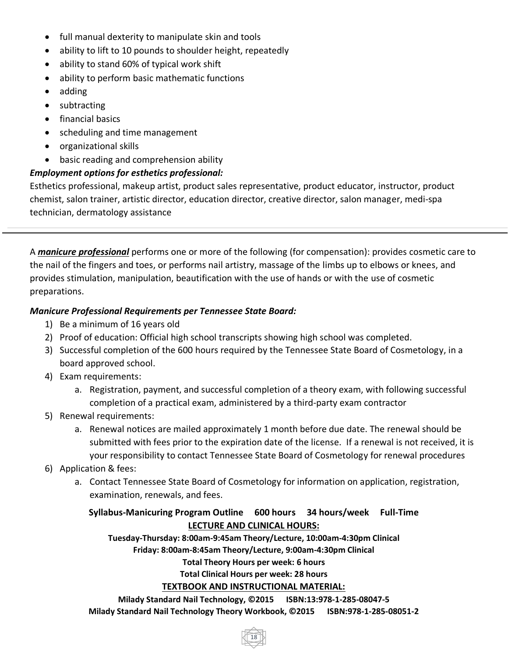- full manual dexterity to manipulate skin and tools
- ability to lift to 10 pounds to shoulder height, repeatedly
- ability to stand 60% of typical work shift
- ability to perform basic mathematic functions
- adding
- subtracting
- financial basics
- scheduling and time management
- organizational skills
- basic reading and comprehension ability

#### *Employment options for esthetics professional:*

Esthetics professional, makeup artist, product sales representative, product educator, instructor, product chemist, salon trainer, artistic director, education director, creative director, salon manager, medi-spa technician, dermatology assistance

A *manicure professional* performs one or more of the following (for compensation): provides cosmetic care to the nail of the fingers and toes, or performs nail artistry, massage of the limbs up to elbows or knees, and provides stimulation, manipulation, beautification with the use of hands or with the use of cosmetic preparations.

#### *Manicure Professional Requirements per Tennessee State Board:*

- 1) Be a minimum of 16 years old
- 2) Proof of education: Official high school transcripts showing high school was completed.
- 3) Successful completion of the 600 hours required by the Tennessee State Board of Cosmetology, in a board approved school.
- 4) Exam requirements:
	- a. Registration, payment, and successful completion of a theory exam, with following successful completion of a practical exam, administered by a third-party exam contractor
- 5) Renewal requirements:
	- a. Renewal notices are mailed approximately 1 month before due date. The renewal should be submitted with fees prior to the expiration date of the license. If a renewal is not received, it is your responsibility to contact Tennessee State Board of Cosmetology for renewal procedures
- 6) Application & fees:
	- a. Contact Tennessee State Board of Cosmetology for information on application, registration, examination, renewals, and fees.

#### **Syllabus-Manicuring Program Outline 600 hours 34 hours/week Full-Time LECTURE AND CLINICAL HOURS:**

**Tuesday-Thursday: 8:00am-9:45am Theory/Lecture, 10:00am-4:30pm Clinical**

**Friday: 8:00am-8:45am Theory/Lecture, 9:00am-4:30pm Clinical**

**Total Theory Hours per week: 6 hours**

**Total Clinical Hours per week: 28 hours**

#### **TEXTBOOK AND INSTRUCTIONAL MATERIAL:**

**Milady Standard Nail Technology, ©2015 ISBN:13:978-1-285-08047-5 Milady Standard Nail Technology Theory Workbook, ©2015 ISBN:978-1-285-08051-2**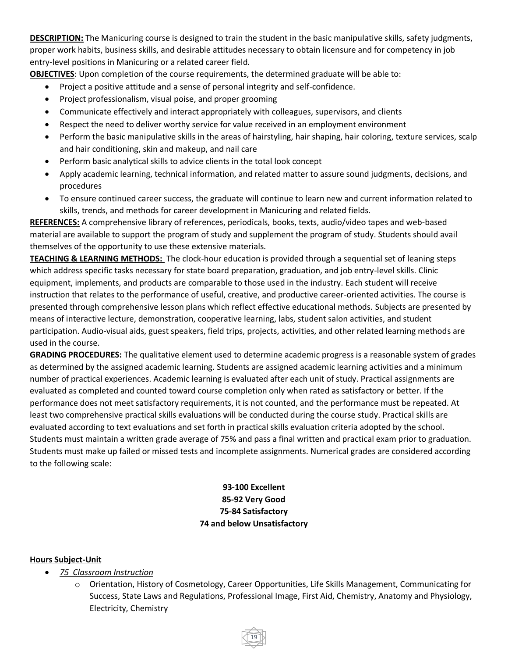**DESCRIPTION:** The Manicuring course is designed to train the student in the basic manipulative skills, safety judgments, proper work habits, business skills, and desirable attitudes necessary to obtain licensure and for competency in job entry-level positions in Manicuring or a related career field.

**OBJECTIVES**: Upon completion of the course requirements, the determined graduate will be able to:

- Project a positive attitude and a sense of personal integrity and self-confidence.
- Project professionalism, visual poise, and proper grooming
- Communicate effectively and interact appropriately with colleagues, supervisors, and clients
- Respect the need to deliver worthy service for value received in an employment environment
- Perform the basic manipulative skills in the areas of hairstyling, hair shaping, hair coloring, texture services, scalp and hair conditioning, skin and makeup, and nail care
- Perform basic analytical skills to advice clients in the total look concept
- Apply academic learning, technical information, and related matter to assure sound judgments, decisions, and procedures
- To ensure continued career success, the graduate will continue to learn new and current information related to skills, trends, and methods for career development in Manicuring and related fields.

**REFERENCES:** A comprehensive library of references, periodicals, books, texts, audio/video tapes and web-based material are available to support the program of study and supplement the program of study. Students should avail themselves of the opportunity to use these extensive materials.

**TEACHING & LEARNING METHODS:** The clock-hour education is provided through a sequential set of leaning steps which address specific tasks necessary for state board preparation, graduation, and job entry-level skills. Clinic equipment, implements, and products are comparable to those used in the industry. Each student will receive instruction that relates to the performance of useful, creative, and productive career-oriented activities. The course is presented through comprehensive lesson plans which reflect effective educational methods. Subjects are presented by means of interactive lecture, demonstration, cooperative learning, labs, student salon activities, and student participation. Audio-visual aids, guest speakers, field trips, projects, activities, and other related learning methods are used in the course.

**GRADING PROCEDURES:** The qualitative element used to determine academic progress is a reasonable system of grades as determined by the assigned academic learning. Students are assigned academic learning activities and a minimum number of practical experiences. Academic learning is evaluated after each unit of study. Practical assignments are evaluated as completed and counted toward course completion only when rated as satisfactory or better. If the performance does not meet satisfactory requirements, it is not counted, and the performance must be repeated. At least two comprehensive practical skills evaluations will be conducted during the course study. Practical skills are evaluated according to text evaluations and set forth in practical skills evaluation criteria adopted by the school. Students must maintain a written grade average of 75% and pass a final written and practical exam prior to graduation. Students must make up failed or missed tests and incomplete assignments. Numerical grades are considered according to the following scale:

#### **93-100 Excellent 85-92 Very Good 75-84 Satisfactory 74 and below Unsatisfactory**

#### **Hours Subject-Unit**

- *75 Classroom Instruction*
	- o Orientation, History of Cosmetology, Career Opportunities, Life Skills Management, Communicating for Success, State Laws and Regulations, Professional Image, First Aid, Chemistry, Anatomy and Physiology, Electricity, Chemistry

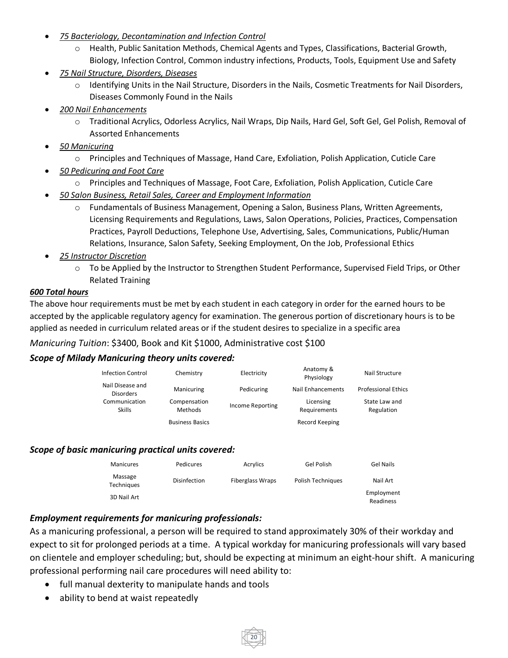- *75 Bacteriology, Decontamination and Infection Control*
	- o Health, Public Sanitation Methods, Chemical Agents and Types, Classifications, Bacterial Growth, Biology, Infection Control, Common industry infections, Products, Tools, Equipment Use and Safety
- *75 Nail Structure, Disorders, Diseases*
	- o Identifying Units in the Nail Structure, Disorders in the Nails, Cosmetic Treatments for Nail Disorders, Diseases Commonly Found in the Nails
- *200 Nail Enhancements*
	- o Traditional Acrylics, Odorless Acrylics, Nail Wraps, Dip Nails, Hard Gel, Soft Gel, Gel Polish, Removal of Assorted Enhancements
- *50 Manicuring*
	- o Principles and Techniques of Massage, Hand Care, Exfoliation, Polish Application, Cuticle Care
- *50 Pedicuring and Foot Care*
	- o Principles and Techniques of Massage, Foot Care, Exfoliation, Polish Application, Cuticle Care
- *50 Salon Business, Retail Sales, Career and Employment Information*
	- o Fundamentals of Business Management, Opening a Salon, Business Plans, Written Agreements, Licensing Requirements and Regulations, Laws, Salon Operations, Policies, Practices, Compensation Practices, Payroll Deductions, Telephone Use, Advertising, Sales, Communications, Public/Human Relations, Insurance, Salon Safety, Seeking Employment, On the Job, Professional Ethics
- *25 Instructor Discretion*
	- o To be Applied by the Instructor to Strengthen Student Performance, Supervised Field Trips, or Other Related Training

#### *600 Total hours*

The above hour requirements must be met by each student in each category in order for the earned hours to be accepted by the applicable regulatory agency for examination. The generous portion of discretionary hours is to be applied as needed in curriculum related areas or if the student desires to specialize in a specific area

#### *Manicuring Tuition*: \$3400, Book and Kit \$1000, Administrative cost \$100

#### *Scope of Milady Manicuring theory units covered:*

| Infection Control                    | Chemistry               | Electricity      | Anatomy &<br>Physiology   | Nail Structure              |
|--------------------------------------|-------------------------|------------------|---------------------------|-----------------------------|
| Nail Disease and<br><b>Disorders</b> | Manicuring              | Pedicuring       | Nail Enhancements         | <b>Professional Ethics</b>  |
| Communication<br><b>Skills</b>       | Compensation<br>Methods | Income Reporting | Licensing<br>Requirements | State Law and<br>Regulation |
|                                      | <b>Business Basics</b>  |                  | Record Keeping            |                             |

#### *Scope of basic manicuring practical units covered:*

| <b>Manicures</b>             | Pedicures    | Acrylics         | Gel Polish        | Gel Nails               |
|------------------------------|--------------|------------------|-------------------|-------------------------|
| Massage<br><b>Techniques</b> | Disinfection | Fiberglass Wraps | Polish Techniques | Nail Art                |
| 3D Nail Art                  |              |                  |                   | Employment<br>Readiness |

#### *Employment requirements for manicuring professionals:*

As a manicuring professional, a person will be required to stand approximately 30% of their workday and expect to sit for prolonged periods at a time. A typical workday for manicuring professionals will vary based on clientele and employer scheduling; but, should be expecting at minimum an eight-hour shift. A manicuring professional performing nail care procedures will need ability to:

- full manual dexterity to manipulate hands and tools
- ability to bend at waist repeatedly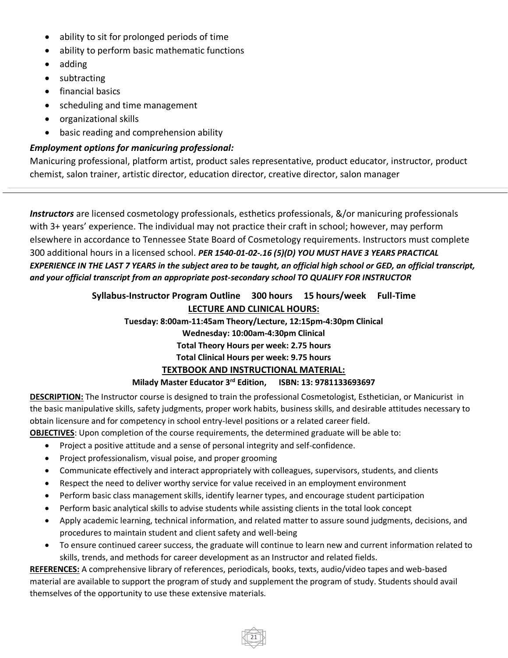- ability to sit for prolonged periods of time
- ability to perform basic mathematic functions
- adding
- subtracting
- financial basics
- scheduling and time management
- organizational skills
- basic reading and comprehension ability

#### *Employment options for manicuring professional:*

Manicuring professional, platform artist, product sales representative, product educator, instructor, product chemist, salon trainer, artistic director, education director, creative director, salon manager

*Instructors* are licensed cosmetology professionals, esthetics professionals, &/or manicuring professionals with 3+ years' experience. The individual may not practice their craft in school; however, may perform elsewhere in accordance to Tennessee State Board of Cosmetology requirements. Instructors must complete 300 additional hours in a licensed school. *PER 1540-01-02-.16 (5)(D) YOU MUST HAVE 3 YEARS PRACTICAL EXPERIENCE IN THE LAST 7 YEARS in the subject area to be taught, an official high school or GED, an official transcript, and your official transcript from an appropriate post-secondary school TO QUALIFY FOR INSTRUCTOR*

> **Syllabus-Instructor Program Outline 300 hours 15 hours/week Full-Time LECTURE AND CLINICAL HOURS:**

**Tuesday: 8:00am-11:45am Theory/Lecture, 12:15pm-4:30pm Clinical**

**Wednesday: 10:00am-4:30pm Clinical**

**Total Theory Hours per week: 2.75 hours**

## **Total Clinical Hours per week: 9.75 hours**

#### **TEXTBOOK AND INSTRUCTIONAL MATERIAL:**

#### **Milady Master Educator 3rd Edition, ISBN: 13: 9781133693697**

**DESCRIPTION:** The Instructor course is designed to train the professional Cosmetologist, Esthetician, or Manicurist in the basic manipulative skills, safety judgments, proper work habits, business skills, and desirable attitudes necessary to obtain licensure and for competency in school entry-level positions or a related career field.

**OBJECTIVES**: Upon completion of the course requirements, the determined graduate will be able to:

- Project a positive attitude and a sense of personal integrity and self-confidence.
- Project professionalism, visual poise, and proper grooming
- Communicate effectively and interact appropriately with colleagues, supervisors, students, and clients
- Respect the need to deliver worthy service for value received in an employment environment
- Perform basic class management skills, identify learner types, and encourage student participation
- Perform basic analytical skills to advise students while assisting clients in the total look concept
- Apply academic learning, technical information, and related matter to assure sound judgments, decisions, and procedures to maintain student and client safety and well-being
- To ensure continued career success, the graduate will continue to learn new and current information related to skills, trends, and methods for career development as an Instructor and related fields.

**REFERENCES:** A comprehensive library of references, periodicals, books, texts, audio/video tapes and web-based material are available to support the program of study and supplement the program of study. Students should avail themselves of the opportunity to use these extensive materials.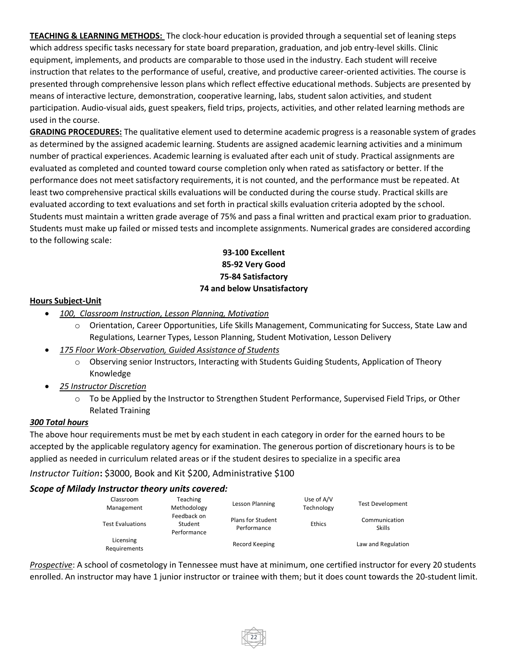**TEACHING & LEARNING METHODS:** The clock-hour education is provided through a sequential set of leaning steps which address specific tasks necessary for state board preparation, graduation, and job entry-level skills. Clinic equipment, implements, and products are comparable to those used in the industry. Each student will receive instruction that relates to the performance of useful, creative, and productive career-oriented activities. The course is presented through comprehensive lesson plans which reflect effective educational methods. Subjects are presented by means of interactive lecture, demonstration, cooperative learning, labs, student salon activities, and student participation. Audio-visual aids, guest speakers, field trips, projects, activities, and other related learning methods are used in the course.

**GRADING PROCEDURES:** The qualitative element used to determine academic progress is a reasonable system of grades as determined by the assigned academic learning. Students are assigned academic learning activities and a minimum number of practical experiences. Academic learning is evaluated after each unit of study. Practical assignments are evaluated as completed and counted toward course completion only when rated as satisfactory or better. If the performance does not meet satisfactory requirements, it is not counted, and the performance must be repeated. At least two comprehensive practical skills evaluations will be conducted during the course study. Practical skills are evaluated according to text evaluations and set forth in practical skills evaluation criteria adopted by the school. Students must maintain a written grade average of 75% and pass a final written and practical exam prior to graduation. Students must make up failed or missed tests and incomplete assignments. Numerical grades are considered according to the following scale:

#### **93-100 Excellent 85-92 Very Good 75-84 Satisfactory 74 and below Unsatisfactory**

#### **Hours Subject-Unit**

- *100, Classroom Instruction, Lesson Planning, Motivation*
	- o Orientation, Career Opportunities, Life Skills Management, Communicating for Success, State Law and Regulations, Learner Types, Lesson Planning, Student Motivation, Lesson Delivery
- *175 Floor Work-Observation, Guided Assistance of Students* 
	- o Observing senior Instructors, Interacting with Students Guiding Students, Application of Theory Knowledge
- *25 Instructor Discretion*
	- o To be Applied by the Instructor to Strengthen Student Performance, Supervised Field Trips, or Other Related Training

#### *300 Total hours*

The above hour requirements must be met by each student in each category in order for the earned hours to be accepted by the applicable regulatory agency for examination. The generous portion of discretionary hours is to be applied as needed in curriculum related areas or if the student desires to specialize in a specific area

#### *Instructor Tuition***:** \$3000, Book and Kit \$200, Administrative \$100

#### *Scope of Milady Instructor theory units covered:*

| Classroom<br>Management   | Teaching<br>Methodology               | Lesson Planning                         | Use of A/V<br>Technology | <b>Test Development</b>        |
|---------------------------|---------------------------------------|-----------------------------------------|--------------------------|--------------------------------|
| <b>Test Evaluations</b>   | Feedback on<br>Student<br>Performance | <b>Plans for Student</b><br>Performance | Ethics                   | Communication<br><b>Skills</b> |
| Licensing<br>Requirements |                                       | Record Keeping                          |                          | Law and Regulation             |

*Prospective*: A school of cosmetology in Tennessee must have at minimum, one certified instructor for every 20 students enrolled. An instructor may have 1 junior instructor or trainee with them; but it does count towards the 20-student limit.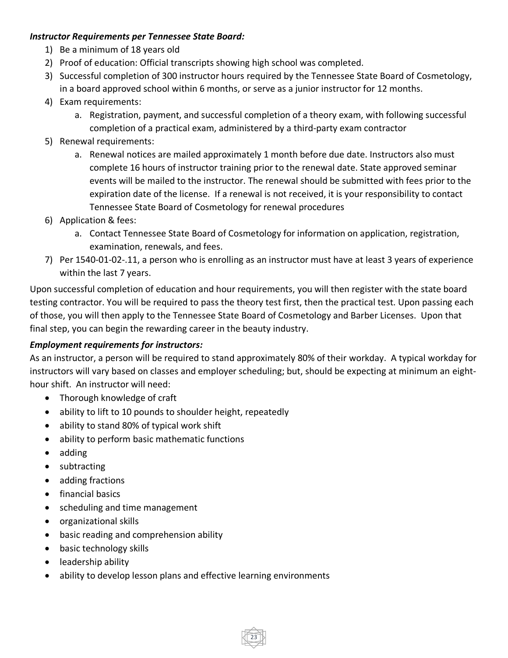#### *Instructor Requirements per Tennessee State Board:*

- 1) Be a minimum of 18 years old
- 2) Proof of education: Official transcripts showing high school was completed.
- 3) Successful completion of 300 instructor hours required by the Tennessee State Board of Cosmetology, in a board approved school within 6 months, or serve as a junior instructor for 12 months.
- 4) Exam requirements:
	- a. Registration, payment, and successful completion of a theory exam, with following successful completion of a practical exam, administered by a third-party exam contractor
- 5) Renewal requirements:
	- a. Renewal notices are mailed approximately 1 month before due date. Instructors also must complete 16 hours of instructor training prior to the renewal date. State approved seminar events will be mailed to the instructor. The renewal should be submitted with fees prior to the expiration date of the license. If a renewal is not received, it is your responsibility to contact Tennessee State Board of Cosmetology for renewal procedures
- 6) Application & fees:
	- a. Contact Tennessee State Board of Cosmetology for information on application, registration, examination, renewals, and fees.
- 7) Per 1540-01-02-.11, a person who is enrolling as an instructor must have at least 3 years of experience within the last 7 years.

Upon successful completion of education and hour requirements, you will then register with the state board testing contractor. You will be required to pass the theory test first, then the practical test. Upon passing each of those, you will then apply to the Tennessee State Board of Cosmetology and Barber Licenses. Upon that final step, you can begin the rewarding career in the beauty industry.

#### *Employment requirements for instructors:*

As an instructor, a person will be required to stand approximately 80% of their workday. A typical workday for instructors will vary based on classes and employer scheduling; but, should be expecting at minimum an eighthour shift. An instructor will need:

- Thorough knowledge of craft
- ability to lift to 10 pounds to shoulder height, repeatedly
- ability to stand 80% of typical work shift
- ability to perform basic mathematic functions
- adding
- subtracting
- adding fractions
- financial basics
- scheduling and time management
- organizational skills
- basic reading and comprehension ability
- basic technology skills
- leadership ability
- ability to develop lesson plans and effective learning environments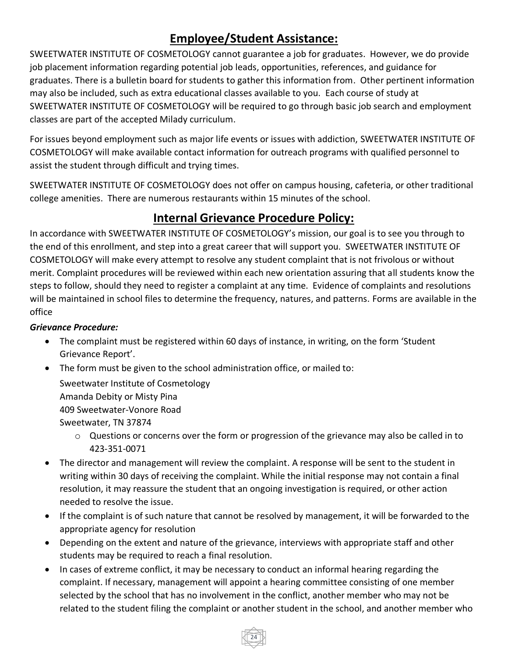# **Employee/Student Assistance:**

SWEETWATER INSTITUTE OF COSMETOLOGY cannot guarantee a job for graduates. However, we do provide job placement information regarding potential job leads, opportunities, references, and guidance for graduates. There is a bulletin board for students to gather this information from. Other pertinent information may also be included, such as extra educational classes available to you. Each course of study at SWEETWATER INSTITUTE OF COSMETOLOGY will be required to go through basic job search and employment classes are part of the accepted Milady curriculum.

For issues beyond employment such as major life events or issues with addiction, SWEETWATER INSTITUTE OF COSMETOLOGY will make available contact information for outreach programs with qualified personnel to assist the student through difficult and trying times.

SWEETWATER INSTITUTE OF COSMETOLOGY does not offer on campus housing, cafeteria, or other traditional college amenities. There are numerous restaurants within 15 minutes of the school.

# **Internal Grievance Procedure Policy:**

In accordance with SWEETWATER INSTITUTE OF COSMETOLOGY's mission, our goal is to see you through to the end of this enrollment, and step into a great career that will support you. SWEETWATER INSTITUTE OF COSMETOLOGY will make every attempt to resolve any student complaint that is not frivolous or without merit. Complaint procedures will be reviewed within each new orientation assuring that all students know the steps to follow, should they need to register a complaint at any time. Evidence of complaints and resolutions will be maintained in school files to determine the frequency, natures, and patterns. Forms are available in the office

### *Grievance Procedure:*

- The complaint must be registered within 60 days of instance, in writing, on the form 'Student Grievance Report'.
- The form must be given to the school administration office, or mailed to:

Sweetwater Institute of Cosmetology Amanda Debity or Misty Pina 409 Sweetwater-Vonore Road Sweetwater, TN 37874

- $\circ$  Questions or concerns over the form or progression of the grievance may also be called in to 423-351-0071
- The director and management will review the complaint. A response will be sent to the student in writing within 30 days of receiving the complaint. While the initial response may not contain a final resolution, it may reassure the student that an ongoing investigation is required, or other action needed to resolve the issue.
- If the complaint is of such nature that cannot be resolved by management, it will be forwarded to the appropriate agency for resolution
- Depending on the extent and nature of the grievance, interviews with appropriate staff and other students may be required to reach a final resolution.
- In cases of extreme conflict, it may be necessary to conduct an informal hearing regarding the complaint. If necessary, management will appoint a hearing committee consisting of one member selected by the school that has no involvement in the conflict, another member who may not be related to the student filing the complaint or another student in the school, and another member who

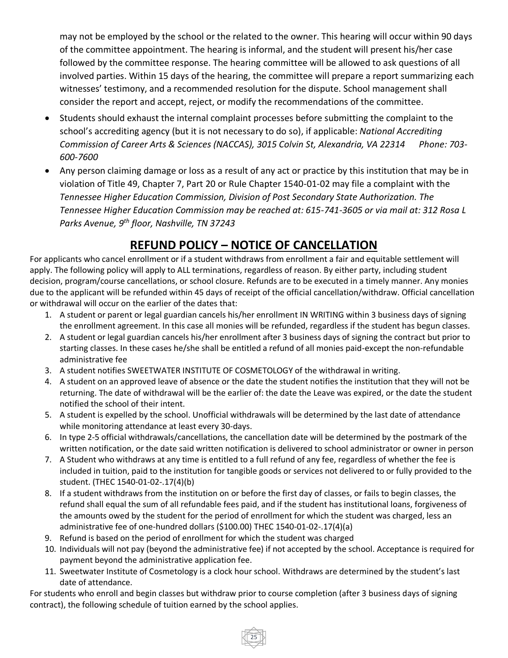may not be employed by the school or the related to the owner. This hearing will occur within 90 days of the committee appointment. The hearing is informal, and the student will present his/her case followed by the committee response. The hearing committee will be allowed to ask questions of all involved parties. Within 15 days of the hearing, the committee will prepare a report summarizing each witnesses' testimony, and a recommended resolution for the dispute. School management shall consider the report and accept, reject, or modify the recommendations of the committee.

- Students should exhaust the internal complaint processes before submitting the complaint to the school's accrediting agency (but it is not necessary to do so), if applicable: *National Accrediting Commission of Career Arts & Sciences (NACCAS), 3015 Colvin St, Alexandria, VA 22314 Phone: 703- 600-7600*
- Any person claiming damage or loss as a result of any act or practice by this institution that may be in violation of Title 49, Chapter 7, Part 20 or Rule Chapter 1540-01-02 may file a complaint with the *Tennessee Higher Education Commission, Division of Post Secondary State Authorization. The Tennessee Higher Education Commission may be reached at: 615-741-3605 or via mail at: 312 Rosa L Parks Avenue, 9th floor, Nashville, TN 37243*

# **REFUND POLICY – NOTICE OF CANCELLATION**

For applicants who cancel enrollment or if a student withdraws from enrollment a fair and equitable settlement will apply. The following policy will apply to ALL terminations, regardless of reason. By either party, including student decision, program/course cancellations, or school closure. Refunds are to be executed in a timely manner. Any monies due to the applicant will be refunded within 45 days of receipt of the official cancellation/withdraw. Official cancellation or withdrawal will occur on the earlier of the dates that:

- 1. A student or parent or legal guardian cancels his/her enrollment IN WRITING within 3 business days of signing the enrollment agreement. In this case all monies will be refunded, regardless if the student has begun classes.
- 2. A student or legal guardian cancels his/her enrollment after 3 business days of signing the contract but prior to starting classes. In these cases he/she shall be entitled a refund of all monies paid-except the non-refundable administrative fee
- 3. A student notifies SWEETWATER INSTITUTE OF COSMETOLOGY of the withdrawal in writing.
- 4. A student on an approved leave of absence or the date the student notifies the institution that they will not be returning. The date of withdrawal will be the earlier of: the date the Leave was expired, or the date the student notified the school of their intent.
- 5. A student is expelled by the school. Unofficial withdrawals will be determined by the last date of attendance while monitoring attendance at least every 30-days.
- 6. In type 2-5 official withdrawals/cancellations, the cancellation date will be determined by the postmark of the written notification, or the date said written notification is delivered to school administrator or owner in person
- 7. A Student who withdraws at any time is entitled to a full refund of any fee, regardless of whether the fee is included in tuition, paid to the institution for tangible goods or services not delivered to or fully provided to the student. (THEC 1540-01-02-.17(4)(b)
- 8. If a student withdraws from the institution on or before the first day of classes, or fails to begin classes, the refund shall equal the sum of all refundable fees paid, and if the student has institutional loans, forgiveness of the amounts owed by the student for the period of enrollment for which the student was charged, less an administrative fee of one-hundred dollars (\$100.00) THEC 1540-01-02-.17(4)(a)
- 9. Refund is based on the period of enrollment for which the student was charged
- 10. Individuals will not pay (beyond the administrative fee) if not accepted by the school. Acceptance is required for payment beyond the administrative application fee.
- 11. Sweetwater Institute of Cosmetology is a clock hour school. Withdraws are determined by the student's last date of attendance.

25

For students who enroll and begin classes but withdraw prior to course completion (after 3 business days of signing contract), the following schedule of tuition earned by the school applies.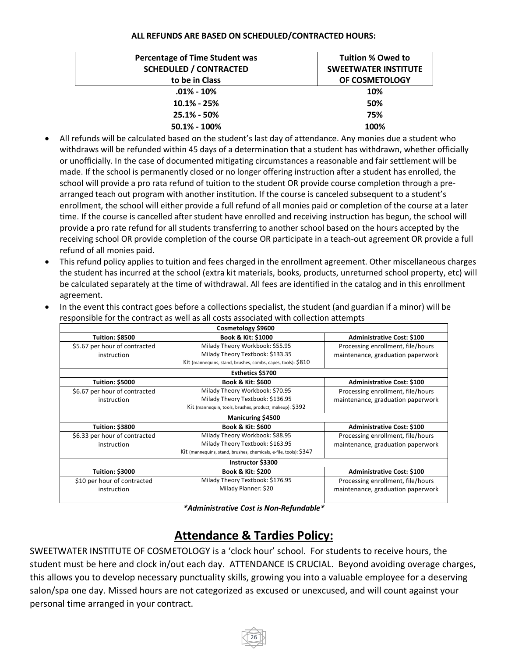#### **ALL REFUNDS ARE BASED ON SCHEDULED/CONTRACTED HOURS:**

| <b>Percentage of Time Student was</b> | <b>Tuition % Owed to</b>    |
|---------------------------------------|-----------------------------|
| <b>SCHEDULED / CONTRACTED</b>         | <b>SWEETWATER INSTITUTE</b> |
| to be in Class                        | OF COSMETOLOGY              |
| $.01\% - 10\%$                        | 10%                         |
| $10.1\% - 25\%$                       | 50%                         |
| 25.1% - 50%                           | 75%                         |
| $50.1\% - 100\%$                      | 100%                        |
|                                       |                             |

- All refunds will be calculated based on the student's last day of attendance. Any monies due a student who withdraws will be refunded within 45 days of a determination that a student has withdrawn, whether officially or unofficially. In the case of documented mitigating circumstances a reasonable and fair settlement will be made. If the school is permanently closed or no longer offering instruction after a student has enrolled, the school will provide a pro rata refund of tuition to the student OR provide course completion through a prearranged teach out program with another institution. If the course is canceled subsequent to a student's enrollment, the school will either provide a full refund of all monies paid or completion of the course at a later time. If the course is cancelled after student have enrolled and receiving instruction has begun, the school will provide a pro rate refund for all students transferring to another school based on the hours accepted by the receiving school OR provide completion of the course OR participate in a teach-out agreement OR provide a full refund of all monies paid.
- This refund policy applies to tuition and fees charged in the enrollment agreement. Other miscellaneous charges the student has incurred at the school (extra kit materials, books, products, unreturned school property, etc) will be calculated separately at the time of withdrawal. All fees are identified in the catalog and in this enrollment agreement.

|                               | Cosmetology \$9600                                                |                                   |
|-------------------------------|-------------------------------------------------------------------|-----------------------------------|
| <b>Tuition: \$8500</b>        | Book & Kit: \$1000                                                | <b>Administrative Cost: \$100</b> |
| \$5.67 per hour of contracted | Milady Theory Workbook: \$55.95                                   | Processing enrollment, file/hours |
| instruction                   | Milady Theory Textbook: \$133.35                                  | maintenance, graduation paperwork |
|                               | Kit (mannequins, stand, brushes, combs, capes, tools): \$810      |                                   |
|                               | Esthetics \$5700                                                  |                                   |
| <b>Tuition: \$5000</b>        | <b>Book &amp; Kit: \$600</b>                                      | <b>Administrative Cost: \$100</b> |
| \$6.67 per hour of contracted | Milady Theory Workbook: \$70.95                                   | Processing enrollment, file/hours |
| instruction                   | Milady Theory Textbook: \$136.95                                  | maintenance, graduation paperwork |
|                               | Kit (mannequin, tools, brushes, product, makeup): \$392           |                                   |
|                               | Manicuring \$4500                                                 |                                   |
| <b>Tuition: \$3800</b>        | <b>Book &amp; Kit: \$600</b>                                      | <b>Administrative Cost: \$100</b> |
| \$6.33 per hour of contracted | Milady Theory Workbook: \$88.95                                   | Processing enrollment, file/hours |
| instruction                   | Milady Theory Textbook: \$163.95                                  | maintenance, graduation paperwork |
|                               | Kit (mannequins, stand, brushes, chemicals, e-file, tools): \$347 |                                   |
|                               | Instructor \$3300                                                 |                                   |
| <b>Tuition: \$3000</b>        | <b>Book &amp; Kit: \$200</b>                                      | <b>Administrative Cost: \$100</b> |
| \$10 per hour of contracted   | Milady Theory Textbook: \$176.95                                  | Processing enrollment, file/hours |
| instruction                   | Milady Planner: \$20                                              | maintenance, graduation paperwork |
|                               |                                                                   |                                   |

• In the event this contract goes before a collections specialist, the student (and guardian if a minor) will be responsible for the contract as well as all costs associated with collection attempts

*\*Administrative Cost is Non-Refundable\**

## **Attendance & Tardies Policy:**

SWEETWATER INSTITUTE OF COSMETOLOGY is a 'clock hour' school. For students to receive hours, the student must be here and clock in/out each day. ATTENDANCE IS CRUCIAL. Beyond avoiding overage charges, this allows you to develop necessary punctuality skills, growing you into a valuable employee for a deserving salon/spa one day. Missed hours are not categorized as excused or unexcused, and will count against your personal time arranged in your contract.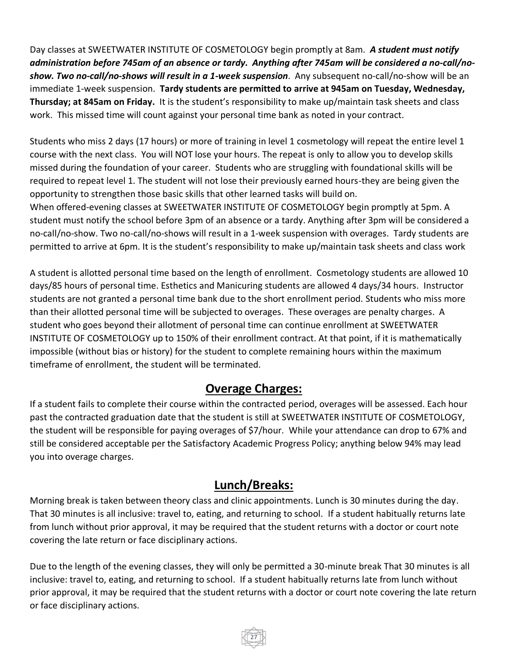Day classes at SWEETWATER INSTITUTE OF COSMETOLOGY begin promptly at 8am. *A student must notify administration before 745am of an absence or tardy. Anything after 745am will be considered a no-call/noshow. Two no-call/no-shows will result in a 1-week suspension*. Any subsequent no-call/no-show will be an immediate 1-week suspension. **Tardy students are permitted to arrive at 945am on Tuesday, Wednesday, Thursday; at 845am on Friday.** It is the student's responsibility to make up/maintain task sheets and class work. This missed time will count against your personal time bank as noted in your contract.

Students who miss 2 days (17 hours) or more of training in level 1 cosmetology will repeat the entire level 1 course with the next class. You will NOT lose your hours. The repeat is only to allow you to develop skills missed during the foundation of your career. Students who are struggling with foundational skills will be required to repeat level 1. The student will not lose their previously earned hours-they are being given the opportunity to strengthen those basic skills that other learned tasks will build on.

When offered-evening classes at SWEETWATER INSTITUTE OF COSMETOLOGY begin promptly at 5pm. A student must notify the school before 3pm of an absence or a tardy. Anything after 3pm will be considered a no-call/no-show. Two no-call/no-shows will result in a 1-week suspension with overages. Tardy students are permitted to arrive at 6pm. It is the student's responsibility to make up/maintain task sheets and class work

A student is allotted personal time based on the length of enrollment. Cosmetology students are allowed 10 days/85 hours of personal time. Esthetics and Manicuring students are allowed 4 days/34 hours. Instructor students are not granted a personal time bank due to the short enrollment period. Students who miss more than their allotted personal time will be subjected to overages. These overages are penalty charges. A student who goes beyond their allotment of personal time can continue enrollment at SWEETWATER INSTITUTE OF COSMETOLOGY up to 150% of their enrollment contract. At that point, if it is mathematically impossible (without bias or history) for the student to complete remaining hours within the maximum timeframe of enrollment, the student will be terminated.

## **Overage Charges:**

If a student fails to complete their course within the contracted period, overages will be assessed. Each hour past the contracted graduation date that the student is still at SWEETWATER INSTITUTE OF COSMETOLOGY, the student will be responsible for paying overages of \$7/hour. While your attendance can drop to 67% and still be considered acceptable per the Satisfactory Academic Progress Policy; anything below 94% may lead you into overage charges.

## **Lunch/Breaks:**

Morning break is taken between theory class and clinic appointments. Lunch is 30 minutes during the day. That 30 minutes is all inclusive: travel to, eating, and returning to school. If a student habitually returns late from lunch without prior approval, it may be required that the student returns with a doctor or court note covering the late return or face disciplinary actions.

Due to the length of the evening classes, they will only be permitted a 30-minute break That 30 minutes is all inclusive: travel to, eating, and returning to school. If a student habitually returns late from lunch without prior approval, it may be required that the student returns with a doctor or court note covering the late return or face disciplinary actions.

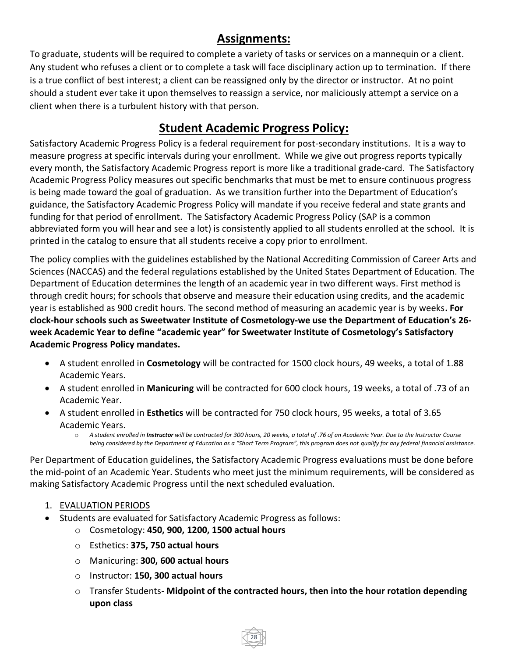## **Assignments:**

To graduate, students will be required to complete a variety of tasks or services on a mannequin or a client. Any student who refuses a client or to complete a task will face disciplinary action up to termination. If there is a true conflict of best interest; a client can be reassigned only by the director or instructor. At no point should a student ever take it upon themselves to reassign a service, nor maliciously attempt a service on a client when there is a turbulent history with that person.

## **Student Academic Progress Policy:**

Satisfactory Academic Progress Policy is a federal requirement for post-secondary institutions. It is a way to measure progress at specific intervals during your enrollment. While we give out progress reports typically every month, the Satisfactory Academic Progress report is more like a traditional grade-card. The Satisfactory Academic Progress Policy measures out specific benchmarks that must be met to ensure continuous progress is being made toward the goal of graduation. As we transition further into the Department of Education's guidance, the Satisfactory Academic Progress Policy will mandate if you receive federal and state grants and funding for that period of enrollment. The Satisfactory Academic Progress Policy (SAP is a common abbreviated form you will hear and see a lot) is consistently applied to all students enrolled at the school. It is printed in the catalog to ensure that all students receive a copy prior to enrollment.

The policy complies with the guidelines established by the National Accrediting Commission of Career Arts and Sciences (NACCAS) and the federal regulations established by the United States Department of Education. The Department of Education determines the length of an academic year in two different ways. First method is through credit hours; for schools that observe and measure their education using credits, and the academic year is established as 900 credit hours. The second method of measuring an academic year is by weeks**. For clock-hour schools such as Sweetwater Institute of Cosmetology-we use the Department of Education's 26 week Academic Year to define "academic year" for Sweetwater Institute of Cosmetology's Satisfactory Academic Progress Policy mandates.**

- A student enrolled in **Cosmetology** will be contracted for 1500 clock hours, 49 weeks, a total of 1.88 Academic Years.
- A student enrolled in **Manicuring** will be contracted for 600 clock hours, 19 weeks, a total of .73 of an Academic Year.
- A student enrolled in **Esthetics** will be contracted for 750 clock hours, 95 weeks, a total of 3.65 Academic Years.
	- o *A student enrolled in Instructor will be contracted for 300 hours, 20 weeks, a total of .76 of an Academic Year. Due to the Instructor Course*  being considered by the Department of Education as a "Short Term Program", this program does not qualify for any federal financial assistance.

Per Department of Education guidelines, the Satisfactory Academic Progress evaluations must be done before the mid-point of an Academic Year. Students who meet just the minimum requirements, will be considered as making Satisfactory Academic Progress until the next scheduled evaluation.

- 1. EVALUATION PERIODS
- Students are evaluated for Satisfactory Academic Progress as follows:
	- o Cosmetology: **450, 900, 1200, 1500 actual hours**
	- o Esthetics: **375, 750 actual hours**
	- o Manicuring: **300, 600 actual hours**
	- o Instructor: **150, 300 actual hours**
	- o Transfer Students- **Midpoint of the contracted hours, then into the hour rotation depending upon class**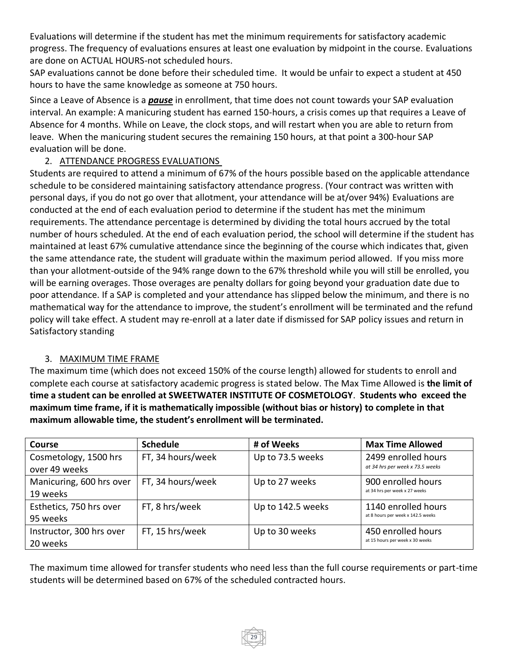Evaluations will determine if the student has met the minimum requirements for satisfactory academic progress. The frequency of evaluations ensures at least one evaluation by midpoint in the course. Evaluations are done on ACTUAL HOURS-not scheduled hours.

SAP evaluations cannot be done before their scheduled time. It would be unfair to expect a student at 450 hours to have the same knowledge as someone at 750 hours.

Since a Leave of Absence is a *pause* in enrollment, that time does not count towards your SAP evaluation interval. An example: A manicuring student has earned 150-hours, a crisis comes up that requires a Leave of Absence for 4 months. While on Leave, the clock stops, and will restart when you are able to return from leave. When the manicuring student secures the remaining 150 hours, at that point a 300-hour SAP evaluation will be done.

#### 2. ATTENDANCE PROGRESS EVALUATIONS

Students are required to attend a minimum of 67% of the hours possible based on the applicable attendance schedule to be considered maintaining satisfactory attendance progress. (Your contract was written with personal days, if you do not go over that allotment, your attendance will be at/over 94%) Evaluations are conducted at the end of each evaluation period to determine if the student has met the minimum requirements. The attendance percentage is determined by dividing the total hours accrued by the total number of hours scheduled. At the end of each evaluation period, the school will determine if the student has maintained at least 67% cumulative attendance since the beginning of the course which indicates that, given the same attendance rate, the student will graduate within the maximum period allowed. If you miss more than your allotment-outside of the 94% range down to the 67% threshold while you will still be enrolled, you will be earning overages. Those overages are penalty dollars for going beyond your graduation date due to poor attendance. If a SAP is completed and your attendance has slipped below the minimum, and there is no mathematical way for the attendance to improve, the student's enrollment will be terminated and the refund policy will take effect. A student may re-enroll at a later date if dismissed for SAP policy issues and return in Satisfactory standing

#### 3. MAXIMUM TIME FRAME

The maximum time (which does not exceed 150% of the course length) allowed for students to enroll and complete each course at satisfactory academic progress is stated below. The Max Time Allowed is **the limit of time a student can be enrolled at SWEETWATER INSTITUTE OF COSMETOLOGY**. **Students who exceed the maximum time frame, if it is mathematically impossible (without bias or history) to complete in that maximum allowable time, the student's enrollment will be terminated.**

| Course                                 | <b>Schedule</b>   | # of Weeks        | <b>Max Time Allowed</b>                                  |
|----------------------------------------|-------------------|-------------------|----------------------------------------------------------|
| Cosmetology, 1500 hrs<br>over 49 weeks | FT, 34 hours/week | Up to 73.5 weeks  | 2499 enrolled hours<br>at 34 hrs per week x 73.5 weeks   |
| Manicuring, 600 hrs over<br>19 weeks   | FT, 34 hours/week | Up to 27 weeks    | 900 enrolled hours<br>at 34 hrs per week x 27 weeks      |
| Esthetics, 750 hrs over<br>95 weeks    | FT, 8 hrs/week    | Up to 142.5 weeks | 1140 enrolled hours<br>at 8 hours per week x 142.5 weeks |
| Instructor, 300 hrs over<br>20 weeks   | FT, 15 hrs/week   | Up to 30 weeks    | 450 enrolled hours<br>at 15 hours per week x 30 weeks    |

The maximum time allowed for transfer students who need less than the full course requirements or part-time students will be determined based on 67% of the scheduled contracted hours.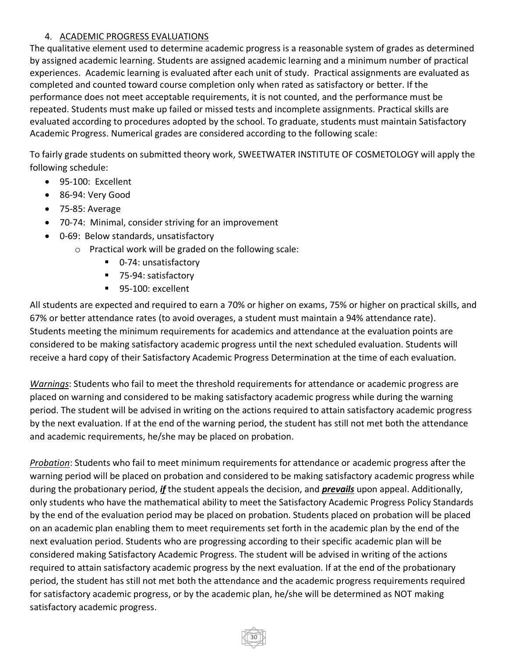#### 4. ACADEMIC PROGRESS EVALUATIONS

The qualitative element used to determine academic progress is a reasonable system of grades as determined by assigned academic learning. Students are assigned academic learning and a minimum number of practical experiences. Academic learning is evaluated after each unit of study. Practical assignments are evaluated as completed and counted toward course completion only when rated as satisfactory or better. If the performance does not meet acceptable requirements, it is not counted, and the performance must be repeated. Students must make up failed or missed tests and incomplete assignments. Practical skills are evaluated according to procedures adopted by the school. To graduate, students must maintain Satisfactory Academic Progress. Numerical grades are considered according to the following scale:

To fairly grade students on submitted theory work, SWEETWATER INSTITUTE OF COSMETOLOGY will apply the following schedule:

- 95-100: Excellent
- 86-94: Very Good
- 75-85: Average
- 70-74: Minimal, consider striving for an improvement
- 0-69: Below standards, unsatisfactory
	- o Practical work will be graded on the following scale:
		- 0-74: unsatisfactory
		- 75-94: satisfactory
		- 95-100: excellent

All students are expected and required to earn a 70% or higher on exams, 75% or higher on practical skills, and 67% or better attendance rates (to avoid overages, a student must maintain a 94% attendance rate). Students meeting the minimum requirements for academics and attendance at the evaluation points are considered to be making satisfactory academic progress until the next scheduled evaluation. Students will receive a hard copy of their Satisfactory Academic Progress Determination at the time of each evaluation.

*Warnings*: Students who fail to meet the threshold requirements for attendance or academic progress are placed on warning and considered to be making satisfactory academic progress while during the warning period. The student will be advised in writing on the actions required to attain satisfactory academic progress by the next evaluation. If at the end of the warning period, the student has still not met both the attendance and academic requirements, he/she may be placed on probation.

*Probation*: Students who fail to meet minimum requirements for attendance or academic progress after the warning period will be placed on probation and considered to be making satisfactory academic progress while during the probationary period, *if* the student appeals the decision, and *prevails* upon appeal. Additionally, only students who have the mathematical ability to meet the Satisfactory Academic Progress Policy Standards by the end of the evaluation period may be placed on probation. Students placed on probation will be placed on an academic plan enabling them to meet requirements set forth in the academic plan by the end of the next evaluation period. Students who are progressing according to their specific academic plan will be considered making Satisfactory Academic Progress. The student will be advised in writing of the actions required to attain satisfactory academic progress by the next evaluation. If at the end of the probationary period, the student has still not met both the attendance and the academic progress requirements required for satisfactory academic progress, or by the academic plan, he/she will be determined as NOT making satisfactory academic progress.

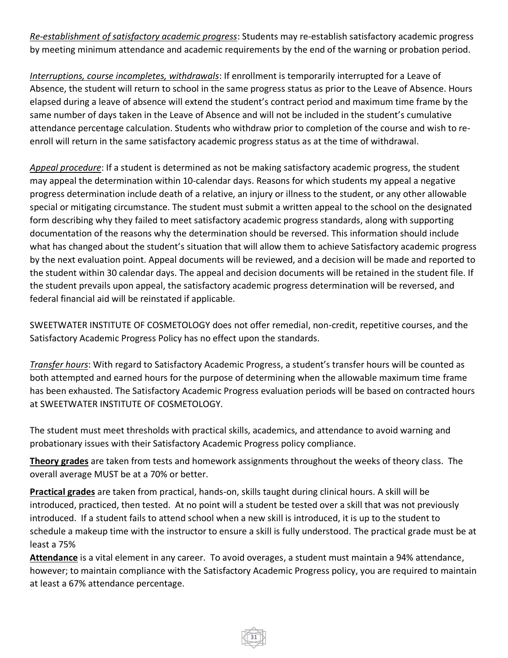*Re-establishment of satisfactory academic progress*: Students may re-establish satisfactory academic progress by meeting minimum attendance and academic requirements by the end of the warning or probation period.

*Interruptions, course incompletes, withdrawals*: If enrollment is temporarily interrupted for a Leave of Absence, the student will return to school in the same progress status as prior to the Leave of Absence. Hours elapsed during a leave of absence will extend the student's contract period and maximum time frame by the same number of days taken in the Leave of Absence and will not be included in the student's cumulative attendance percentage calculation. Students who withdraw prior to completion of the course and wish to reenroll will return in the same satisfactory academic progress status as at the time of withdrawal.

*Appeal procedure*: If a student is determined as not be making satisfactory academic progress, the student may appeal the determination within 10-calendar days. Reasons for which students my appeal a negative progress determination include death of a relative, an injury or illness to the student, or any other allowable special or mitigating circumstance. The student must submit a written appeal to the school on the designated form describing why they failed to meet satisfactory academic progress standards, along with supporting documentation of the reasons why the determination should be reversed. This information should include what has changed about the student's situation that will allow them to achieve Satisfactory academic progress by the next evaluation point. Appeal documents will be reviewed, and a decision will be made and reported to the student within 30 calendar days. The appeal and decision documents will be retained in the student file. If the student prevails upon appeal, the satisfactory academic progress determination will be reversed, and federal financial aid will be reinstated if applicable.

SWEETWATER INSTITUTE OF COSMETOLOGY does not offer remedial, non-credit, repetitive courses, and the Satisfactory Academic Progress Policy has no effect upon the standards.

*Transfer hours*: With regard to Satisfactory Academic Progress, a student's transfer hours will be counted as both attempted and earned hours for the purpose of determining when the allowable maximum time frame has been exhausted. The Satisfactory Academic Progress evaluation periods will be based on contracted hours at SWEETWATER INSTITUTE OF COSMETOLOGY.

The student must meet thresholds with practical skills, academics, and attendance to avoid warning and probationary issues with their Satisfactory Academic Progress policy compliance.

**Theory grades** are taken from tests and homework assignments throughout the weeks of theory class. The overall average MUST be at a 70% or better.

**Practical grades** are taken from practical, hands-on, skills taught during clinical hours. A skill will be introduced, practiced, then tested. At no point will a student be tested over a skill that was not previously introduced. If a student fails to attend school when a new skill is introduced, it is up to the student to schedule a makeup time with the instructor to ensure a skill is fully understood. The practical grade must be at least a 75%

**Attendance** is a vital element in any career. To avoid overages, a student must maintain a 94% attendance, however; to maintain compliance with the Satisfactory Academic Progress policy, you are required to maintain at least a 67% attendance percentage.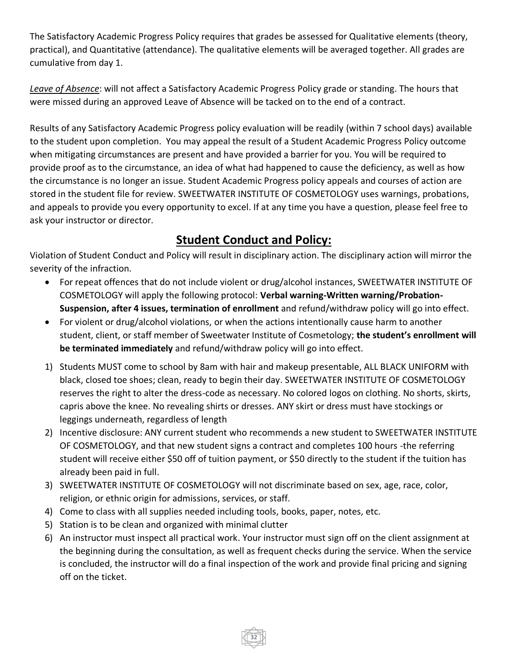The Satisfactory Academic Progress Policy requires that grades be assessed for Qualitative elements (theory, practical), and Quantitative (attendance). The qualitative elements will be averaged together. All grades are cumulative from day 1.

*Leave of Absence*: will not affect a Satisfactory Academic Progress Policy grade or standing. The hours that were missed during an approved Leave of Absence will be tacked on to the end of a contract.

Results of any Satisfactory Academic Progress policy evaluation will be readily (within 7 school days) available to the student upon completion. You may appeal the result of a Student Academic Progress Policy outcome when mitigating circumstances are present and have provided a barrier for you. You will be required to provide proof as to the circumstance, an idea of what had happened to cause the deficiency, as well as how the circumstance is no longer an issue. Student Academic Progress policy appeals and courses of action are stored in the student file for review. SWEETWATER INSTITUTE OF COSMETOLOGY uses warnings, probations, and appeals to provide you every opportunity to excel. If at any time you have a question, please feel free to ask your instructor or director.

# **Student Conduct and Policy:**

Violation of Student Conduct and Policy will result in disciplinary action. The disciplinary action will mirror the severity of the infraction.

- For repeat offences that do not include violent or drug/alcohol instances, SWEETWATER INSTITUTE OF COSMETOLOGY will apply the following protocol: **Verbal warning-Written warning/Probation-Suspension, after 4 issues, termination of enrollment** and refund/withdraw policy will go into effect.
- For violent or drug/alcohol violations, or when the actions intentionally cause harm to another student, client, or staff member of Sweetwater Institute of Cosmetology; **the student's enrollment will be terminated immediately** and refund/withdraw policy will go into effect.
- 1) Students MUST come to school by 8am with hair and makeup presentable, ALL BLACK UNIFORM with black, closed toe shoes; clean, ready to begin their day. SWEETWATER INSTITUTE OF COSMETOLOGY reserves the right to alter the dress-code as necessary. No colored logos on clothing. No shorts, skirts, capris above the knee. No revealing shirts or dresses. ANY skirt or dress must have stockings or leggings underneath, regardless of length
- 2) Incentive disclosure: ANY current student who recommends a new student to SWEETWATER INSTITUTE OF COSMETOLOGY, and that new student signs a contract and completes 100 hours -the referring student will receive either \$50 off of tuition payment, or \$50 directly to the student if the tuition has already been paid in full.
- 3) SWEETWATER INSTITUTE OF COSMETOLOGY will not discriminate based on sex, age, race, color, religion, or ethnic origin for admissions, services, or staff.
- 4) Come to class with all supplies needed including tools, books, paper, notes, etc.
- 5) Station is to be clean and organized with minimal clutter
- 6) An instructor must inspect all practical work. Your instructor must sign off on the client assignment at the beginning during the consultation, as well as frequent checks during the service. When the service is concluded, the instructor will do a final inspection of the work and provide final pricing and signing off on the ticket.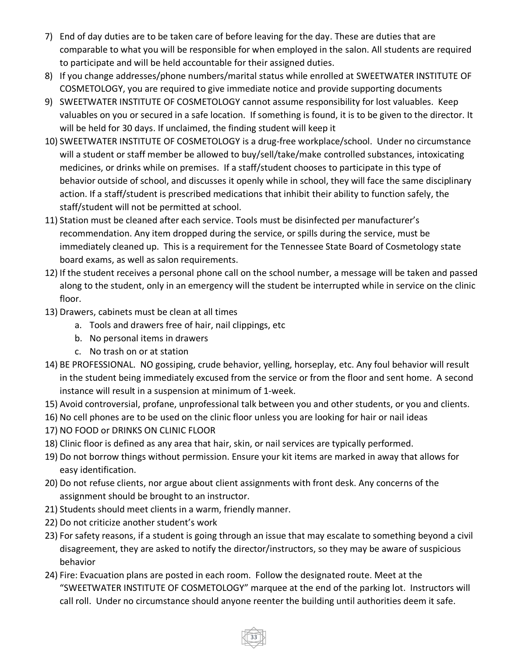- 7) End of day duties are to be taken care of before leaving for the day. These are duties that are comparable to what you will be responsible for when employed in the salon. All students are required to participate and will be held accountable for their assigned duties.
- 8) If you change addresses/phone numbers/marital status while enrolled at SWEETWATER INSTITUTE OF COSMETOLOGY, you are required to give immediate notice and provide supporting documents
- 9) SWEETWATER INSTITUTE OF COSMETOLOGY cannot assume responsibility for lost valuables. Keep valuables on you or secured in a safe location. If something is found, it is to be given to the director. It will be held for 30 days. If unclaimed, the finding student will keep it
- 10) SWEETWATER INSTITUTE OF COSMETOLOGY is a drug-free workplace/school. Under no circumstance will a student or staff member be allowed to buy/sell/take/make controlled substances, intoxicating medicines, or drinks while on premises. If a staff/student chooses to participate in this type of behavior outside of school, and discusses it openly while in school, they will face the same disciplinary action. If a staff/student is prescribed medications that inhibit their ability to function safely, the staff/student will not be permitted at school.
- 11) Station must be cleaned after each service. Tools must be disinfected per manufacturer's recommendation. Any item dropped during the service, or spills during the service, must be immediately cleaned up. This is a requirement for the Tennessee State Board of Cosmetology state board exams, as well as salon requirements.
- 12) If the student receives a personal phone call on the school number, a message will be taken and passed along to the student, only in an emergency will the student be interrupted while in service on the clinic floor.
- 13) Drawers, cabinets must be clean at all times
	- a. Tools and drawers free of hair, nail clippings, etc
	- b. No personal items in drawers
	- c. No trash on or at station
- 14) BE PROFESSIONAL. NO gossiping, crude behavior, yelling, horseplay, etc. Any foul behavior will result in the student being immediately excused from the service or from the floor and sent home. A second instance will result in a suspension at minimum of 1-week.
- 15) Avoid controversial, profane, unprofessional talk between you and other students, or you and clients.
- 16) No cell phones are to be used on the clinic floor unless you are looking for hair or nail ideas
- 17) NO FOOD or DRINKS ON CLINIC FLOOR
- 18) Clinic floor is defined as any area that hair, skin, or nail services are typically performed.
- 19) Do not borrow things without permission. Ensure your kit items are marked in away that allows for easy identification.
- 20) Do not refuse clients, nor argue about client assignments with front desk. Any concerns of the assignment should be brought to an instructor.
- 21) Students should meet clients in a warm, friendly manner.
- 22) Do not criticize another student's work
- 23) For safety reasons, if a student is going through an issue that may escalate to something beyond a civil disagreement, they are asked to notify the director/instructors, so they may be aware of suspicious behavior
- 24) Fire: Evacuation plans are posted in each room. Follow the designated route. Meet at the "SWEETWATER INSTITUTE OF COSMETOLOGY" marquee at the end of the parking lot. Instructors will call roll. Under no circumstance should anyone reenter the building until authorities deem it safe.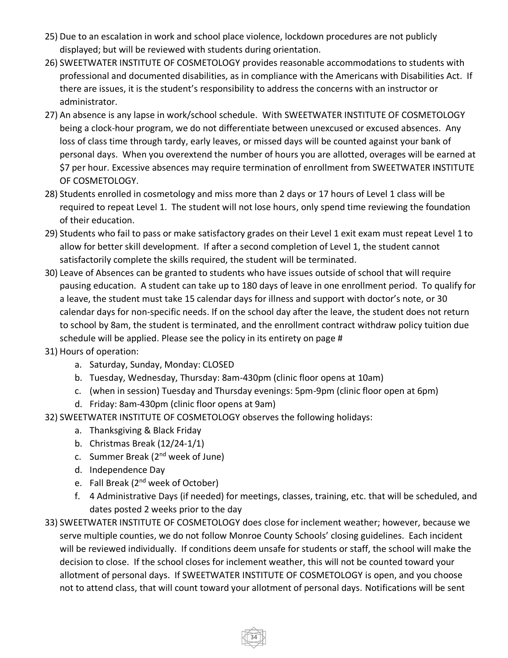- 25) Due to an escalation in work and school place violence, lockdown procedures are not publicly displayed; but will be reviewed with students during orientation.
- 26) SWEETWATER INSTITUTE OF COSMETOLOGY provides reasonable accommodations to students with professional and documented disabilities, as in compliance with the Americans with Disabilities Act. If there are issues, it is the student's responsibility to address the concerns with an instructor or administrator.
- 27) An absence is any lapse in work/school schedule. With SWEETWATER INSTITUTE OF COSMETOLOGY being a clock-hour program, we do not differentiate between unexcused or excused absences. Any loss of class time through tardy, early leaves, or missed days will be counted against your bank of personal days. When you overextend the number of hours you are allotted, overages will be earned at \$7 per hour. Excessive absences may require termination of enrollment from SWEETWATER INSTITUTE OF COSMETOLOGY.
- 28) Students enrolled in cosmetology and miss more than 2 days or 17 hours of Level 1 class will be required to repeat Level 1. The student will not lose hours, only spend time reviewing the foundation of their education.
- 29) Students who fail to pass or make satisfactory grades on their Level 1 exit exam must repeat Level 1 to allow for better skill development. If after a second completion of Level 1, the student cannot satisfactorily complete the skills required, the student will be terminated.
- 30) Leave of Absences can be granted to students who have issues outside of school that will require pausing education. A student can take up to 180 days of leave in one enrollment period. To qualify for a leave, the student must take 15 calendar days for illness and support with doctor's note, or 30 calendar days for non-specific needs. If on the school day after the leave, the student does not return to school by 8am, the student is terminated, and the enrollment contract withdraw policy tuition due schedule will be applied. Please see the policy in its entirety on page #
- 31) Hours of operation:
	- a. Saturday, Sunday, Monday: CLOSED
	- b. Tuesday, Wednesday, Thursday: 8am-430pm (clinic floor opens at 10am)
	- c. (when in session) Tuesday and Thursday evenings: 5pm-9pm (clinic floor open at 6pm)
	- d. Friday: 8am-430pm (clinic floor opens at 9am)
- 32) SWEETWATER INSTITUTE OF COSMETOLOGY observes the following holidays:
	- a. Thanksgiving & Black Friday
	- b. Christmas Break (12/24-1/1)
	- c. Summer Break (2<sup>nd</sup> week of June)
	- d. Independence Day
	- e. Fall Break (2<sup>nd</sup> week of October)
	- f. 4 Administrative Days (if needed) for meetings, classes, training, etc. that will be scheduled, and dates posted 2 weeks prior to the day
- 33) SWEETWATER INSTITUTE OF COSMETOLOGY does close for inclement weather; however, because we serve multiple counties, we do not follow Monroe County Schools' closing guidelines. Each incident will be reviewed individually. If conditions deem unsafe for students or staff, the school will make the decision to close. If the school closes for inclement weather, this will not be counted toward your allotment of personal days. If SWEETWATER INSTITUTE OF COSMETOLOGY is open, and you choose not to attend class, that will count toward your allotment of personal days. Notifications will be sent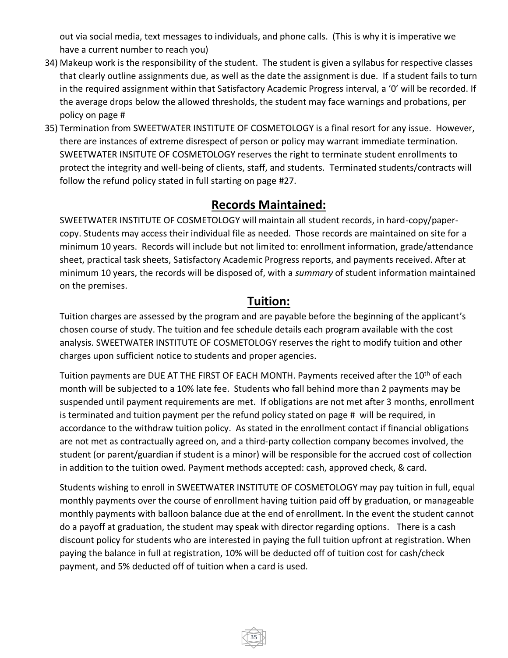out via social media, text messages to individuals, and phone calls. (This is why it is imperative we have a current number to reach you)

- 34) Makeup work is the responsibility of the student. The student is given a syllabus for respective classes that clearly outline assignments due, as well as the date the assignment is due. If a student fails to turn in the required assignment within that Satisfactory Academic Progress interval, a '0' will be recorded. If the average drops below the allowed thresholds, the student may face warnings and probations, per policy on page #
- 35) Termination from SWEETWATER INSTITUTE OF COSMETOLOGY is a final resort for any issue. However, there are instances of extreme disrespect of person or policy may warrant immediate termination. SWEETWATER INSITUTE OF COSMETOLOGY reserves the right to terminate student enrollments to protect the integrity and well-being of clients, staff, and students. Terminated students/contracts will follow the refund policy stated in full starting on page #27.

## **Records Maintained:**

SWEETWATER INSTITUTE OF COSMETOLOGY will maintain all student records, in hard-copy/papercopy. Students may access their individual file as needed. Those records are maintained on site for a minimum 10 years. Records will include but not limited to: enrollment information, grade/attendance sheet, practical task sheets, Satisfactory Academic Progress reports, and payments received. After at minimum 10 years, the records will be disposed of, with a *summary* of student information maintained on the premises.

## **Tuition:**

Tuition charges are assessed by the program and are payable before the beginning of the applicant's chosen course of study. The tuition and fee schedule details each program available with the cost analysis. SWEETWATER INSTITUTE OF COSMETOLOGY reserves the right to modify tuition and other charges upon sufficient notice to students and proper agencies.

Tuition payments are DUE AT THE FIRST OF EACH MONTH. Payments received after the 10<sup>th</sup> of each month will be subjected to a 10% late fee. Students who fall behind more than 2 payments may be suspended until payment requirements are met. If obligations are not met after 3 months, enrollment is terminated and tuition payment per the refund policy stated on page # will be required, in accordance to the withdraw tuition policy. As stated in the enrollment contact if financial obligations are not met as contractually agreed on, and a third-party collection company becomes involved, the student (or parent/guardian if student is a minor) will be responsible for the accrued cost of collection in addition to the tuition owed. Payment methods accepted: cash, approved check, & card.

Students wishing to enroll in SWEETWATER INSTITUTE OF COSMETOLOGY may pay tuition in full, equal monthly payments over the course of enrollment having tuition paid off by graduation, or manageable monthly payments with balloon balance due at the end of enrollment. In the event the student cannot do a payoff at graduation, the student may speak with director regarding options. There is a cash discount policy for students who are interested in paying the full tuition upfront at registration. When paying the balance in full at registration, 10% will be deducted off of tuition cost for cash/check payment, and 5% deducted off of tuition when a card is used.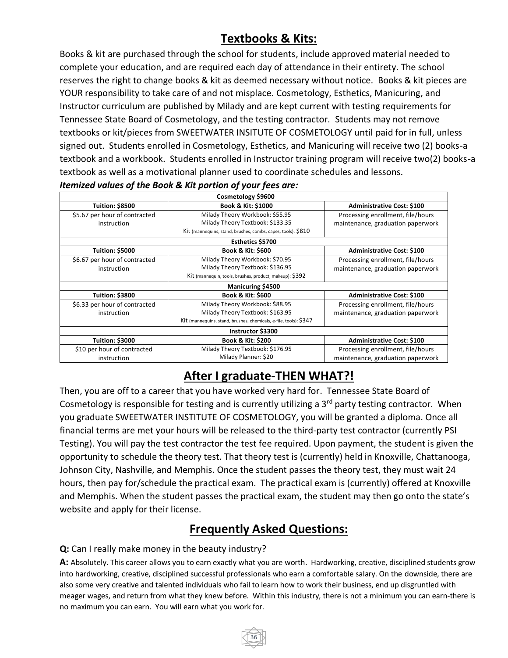# **Textbooks & Kits:**

Books & kit are purchased through the school for students, include approved material needed to complete your education, and are required each day of attendance in their entirety. The school reserves the right to change books & kit as deemed necessary without notice. Books & kit pieces are YOUR responsibility to take care of and not misplace. Cosmetology, Esthetics, Manicuring, and Instructor curriculum are published by Milady and are kept current with testing requirements for Tennessee State Board of Cosmetology, and the testing contractor. Students may not remove textbooks or kit/pieces from SWEETWATER INSITUTE OF COSMETOLOGY until paid for in full, unless signed out. Students enrolled in Cosmetology, Esthetics, and Manicuring will receive two (2) books-a textbook and a workbook. Students enrolled in Instructor training program will receive two(2) books-a textbook as well as a motivational planner used to coordinate schedules and lessons.

|                               | Cosmetology \$9600                                                |                                   |  |  |  |
|-------------------------------|-------------------------------------------------------------------|-----------------------------------|--|--|--|
| <b>Tuition: \$8500</b>        | Book & Kit: \$1000                                                | <b>Administrative Cost: \$100</b> |  |  |  |
| \$5.67 per hour of contracted | Milady Theory Workbook: \$55.95                                   | Processing enrollment, file/hours |  |  |  |
| instruction                   | Milady Theory Textbook: \$133.35                                  | maintenance, graduation paperwork |  |  |  |
|                               | Kit (mannequins, stand, brushes, combs, capes, tools): \$810      |                                   |  |  |  |
| Esthetics \$5700              |                                                                   |                                   |  |  |  |
| <b>Tuition: \$5000</b>        | <b>Book &amp; Kit: \$600</b>                                      | <b>Administrative Cost: \$100</b> |  |  |  |
| \$6.67 per hour of contracted | Milady Theory Workbook: \$70.95                                   | Processing enrollment, file/hours |  |  |  |
| instruction                   | Milady Theory Textbook: \$136.95                                  | maintenance, graduation paperwork |  |  |  |
|                               | Kit (mannequin, tools, brushes, product, makeup): \$392           |                                   |  |  |  |
| <b>Manicuring \$4500</b>      |                                                                   |                                   |  |  |  |
| <b>Tuition: \$3800</b>        | <b>Book &amp; Kit: \$600</b>                                      | <b>Administrative Cost: \$100</b> |  |  |  |
| \$6.33 per hour of contracted | Milady Theory Workbook: \$88.95                                   | Processing enrollment, file/hours |  |  |  |
| instruction                   | Milady Theory Textbook: \$163.95                                  | maintenance, graduation paperwork |  |  |  |
|                               | Kit (mannequins, stand, brushes, chemicals, e-file, tools): \$347 |                                   |  |  |  |
| Instructor \$3300             |                                                                   |                                   |  |  |  |
| <b>Tuition: \$3000</b>        | <b>Book &amp; Kit: \$200</b>                                      | <b>Administrative Cost: \$100</b> |  |  |  |
| \$10 per hour of contracted   | Milady Theory Textbook: \$176.95                                  | Processing enrollment, file/hours |  |  |  |
| instruction                   | Milady Planner: \$20                                              | maintenance, graduation paperwork |  |  |  |
|                               |                                                                   |                                   |  |  |  |

#### *Itemized values of the Book & Kit portion of your fees are:*

# **After I graduate-THEN WHAT?!**

Then, you are off to a career that you have worked very hard for. Tennessee State Board of Cosmetology is responsible for testing and is currently utilizing a 3<sup>rd</sup> party testing contractor. When you graduate SWEETWATER INSTITUTE OF COSMETOLOGY, you will be granted a diploma. Once all financial terms are met your hours will be released to the third-party test contractor (currently PSI Testing). You will pay the test contractor the test fee required. Upon payment, the student is given the opportunity to schedule the theory test. That theory test is (currently) held in Knoxville, Chattanooga, Johnson City, Nashville, and Memphis. Once the student passes the theory test, they must wait 24 hours, then pay for/schedule the practical exam. The practical exam is (currently) offered at Knoxville and Memphis. When the student passes the practical exam, the student may then go onto the state's website and apply for their license.

## **Frequently Asked Questions:**

#### **Q:** Can I really make money in the beauty industry?

**A:** Absolutely. This career allows you to earn exactly what you are worth. Hardworking, creative, disciplined students grow into hardworking, creative, disciplined successful professionals who earn a comfortable salary. On the downside, there are also some very creative and talented individuals who fail to learn how to work their business, end up disgruntled with meager wages, and return from what they knew before. Within this industry, there is not a minimum you can earn-there is no maximum you can earn. You will earn what you work for.

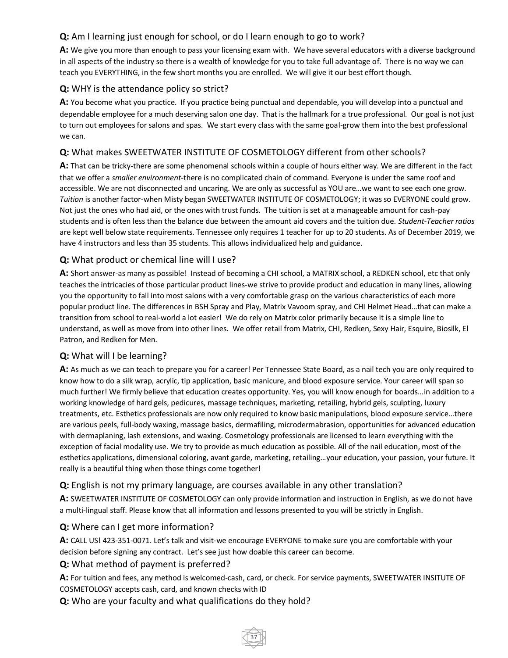#### **Q:** Am I learning just enough for school, or do I learn enough to go to work?

**A:** We give you more than enough to pass your licensing exam with. We have several educators with a diverse background in all aspects of the industry so there is a wealth of knowledge for you to take full advantage of. There is no way we can teach you EVERYTHING, in the few short months you are enrolled. We will give it our best effort though.

#### **Q:** WHY is the attendance policy so strict?

**A:** You become what you practice. If you practice being punctual and dependable, you will develop into a punctual and dependable employee for a much deserving salon one day. That is the hallmark for a true professional. Our goal is not just to turn out employees for salons and spas. We start every class with the same goal-grow them into the best professional we can.

#### **Q:** What makes SWEETWATER INSTITUTE OF COSMETOLOGY different from other schools?

**A:** That can be tricky-there are some phenomenal schools within a couple of hours either way. We are different in the fact that we offer a *smaller environment*-there is no complicated chain of command. Everyone is under the same roof and accessible. We are not disconnected and uncaring. We are only as successful as YOU are…we want to see each one grow. *Tuition* is another factor-when Misty began SWEETWATER INSTITUTE OF COSMETOLOGY; it was so EVERYONE could grow. Not just the ones who had aid, or the ones with trust funds. The tuition is set at a manageable amount for cash-pay students and is often less than the balance due between the amount aid covers and the tuition due. *Student-Teacher ratios* are kept well below state requirements. Tennessee only requires 1 teacher for up to 20 students. As of December 2019, we have 4 instructors and less than 35 students. This allows individualized help and guidance.

#### **Q:** What product or chemical line will I use?

**A:** Short answer-as many as possible! Instead of becoming a CHI school, a MATRIX school, a REDKEN school, etc that only teaches the intricacies of those particular product lines-we strive to provide product and education in many lines, allowing you the opportunity to fall into most salons with a very comfortable grasp on the various characteristics of each more popular product line. The differences in BSH Spray and Play, Matrix Vavoom spray, and CHI Helmet Head…that can make a transition from school to real-world a lot easier! We do rely on Matrix color primarily because it is a simple line to understand, as well as move from into other lines. We offer retail from Matrix, CHI, Redken, Sexy Hair, Esquire, Biosilk, El Patron, and Redken for Men.

#### **Q:** What will I be learning?

**A:** As much as we can teach to prepare you for a career! Per Tennessee State Board, as a nail tech you are only required to know how to do a silk wrap, acrylic, tip application, basic manicure, and blood exposure service. Your career will span so much further! We firmly believe that education creates opportunity. Yes, you will know enough for boards…in addition to a working knowledge of hard gels, pedicures, massage techniques, marketing, retailing, hybrid gels, sculpting, luxury treatments, etc. Esthetics professionals are now only required to know basic manipulations, blood exposure service…there are various peels, full-body waxing, massage basics, dermafiling, microdermabrasion, opportunities for advanced education with dermaplaning, lash extensions, and waxing. Cosmetology professionals are licensed to learn everything with the exception of facial modality use. We try to provide as much education as possible. All of the nail education, most of the esthetics applications, dimensional coloring, avant garde, marketing, retailing…your education, your passion, your future. It really is a beautiful thing when those things come together!

#### **Q:** English is not my primary language, are courses available in any other translation?

**A:** SWEETWATER INSTITUTE OF COSMETOLOGY can only provide information and instruction in English, as we do not have a multi-lingual staff. Please know that all information and lessons presented to you will be strictly in English.

#### **Q:** Where can I get more information?

**A:** CALL US! 423-351-0071. Let's talk and visit-we encourage EVERYONE to make sure you are comfortable with your decision before signing any contract. Let's see just how doable this career can become.

#### **Q:** What method of payment is preferred?

**A:** For tuition and fees, any method is welcomed-cash, card, or check. For service payments, SWEETWATER INSITUTE OF COSMETOLOGY accepts cash, card, and known checks with ID

37

**Q:** Who are your faculty and what qualifications do they hold?